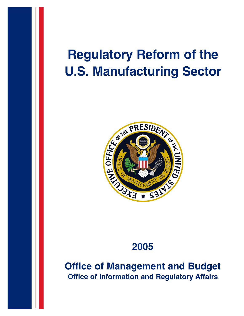## **Regulatory Reform of the U.S. Manufacturing Sector**



## **2005**

**Office of Management and Budget Office of Information and Regulatory Affairs**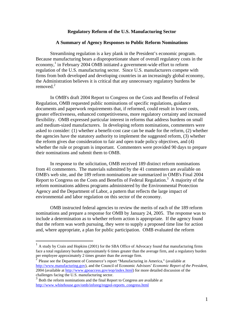## **Regulatory Reform of the U.S. Manufacturing Sector**

## **A Summary of Agency Responses to Public Reform Nominations**

Streamlining regulation is a key plank in the President's economic program. Because manufacturing bears a disproportionate share of overall regulatory costs in the economy, [1](#page-1-0) in February 2004 OMB initiated a government-wide effort to reform regulation of the U.S. manufacturing sector. Since U.S. manufacturers compete with firms from both developed and developing countries in an increasingly global economy, the Administration believes it is critical that any unnecessary regulatory burdens be removed. $2$ 

In OMB's draft 2004 Report to Congress on the Costs and Benefits of Federal Regulation, OMB requested public nominations of specific regulations, guidance documents and paperwork requirements that, if reformed, could result in lower costs, greater effectiveness, enhanced competitiveness, more regulatory certainty and increased flexibility. OMB expressed particular interest in reforms that address burdens on small and medium-sized manufacturers. In developing reform nominations, commenters were asked to consider: (1) whether a benefit-cost case can be made for the reform, (2) whether the agencies have the statutory authority to implement the suggested reform, (3) whether the reform gives due consideration to fair and open trade policy objectives, and (4) whether the rule or program is important. Commenters were provided 90 days to prepare their nominations and submit them to OMB.

In response to the solicitation, OMB received 189 distinct reform nominations from 41 commenters. The materials submitted by the 41 commenters are available on OMB's web site, and the 189 reform nominations are summarized in OMB's Final 2004 Report to Congress on the Costs and Benefits of Federal Regulation.<sup>3</sup> A majority of the reform nominations address programs administered by the Environmental Protection Agency and the Department of Labor, a pattern that reflects the large impact of environmental and labor regulation on this sector of the economy.

OMB instructed federal agencies to review the merits of each of the 189 reform nominations and prepare a response for OMB by January 24, 2005. The response was to include a determination as to whether reform action is appropriate. If the agency found that the reform was worth pursuing, they were to supply a proposed time line for action and, where appropriate, a plan for public participation. OMB evaluated the reform

<span id="page-1-0"></span> $1$  A study by Crain and Hopkins (2001) for the SBA Office of Advocacy found that manufacturing firms face a total regulatory burden approximately 6 times greater than the average firm, and a regulatory burden

<span id="page-1-1"></span>Please see the Department of Commerce's report "Manufacturing in America," (available at [http://www.manufacturing.gov\)](http://www.manufacturing.gov/), and the Council of Economic Advisors' *Economic Report of the President*, 2004 (available at <http://www.gpoaccess.gov/eop/index.html>) for more detailed discussion of the challenges facing the U.S. manufacturing sector.

<span id="page-1-2"></span> $3$  Both the reform nominations and the final Report to Congress are available at [http://www.whitehouse.gov/omb/inforeg/regpol-reports\\_congress.html](http://www.whitehouse.gov/omb/inforeg/regpol-reports_congress.html)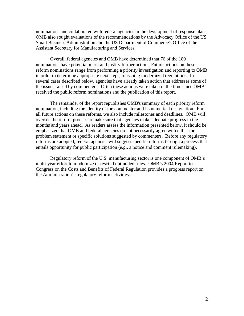nominations and collaborated with federal agencies in the development of response plans. OMB also sought evaluations of the recommendations by the Advocacy Office of the US Small Business Administration and the US Department of Commerce's Office of the Assistant Secretary for Manufacturing and Services.

Overall, federal agencies and OMB have determined that 76 of the 189 nominations have potential merit and justify further action. Future actions on these reform nominations range from performing a priority investigation and reporting to OMB in order to determine appropriate next steps, to issuing modernized regulations. In several cases described below, agencies have already taken action that addresses some of the issues raised by commenters. Often these actions were taken in the time since OMB received the public reform nominations and the publication of this report.

The remainder of the report republishes OMB's summary of each priority reform nomination, including the identity of the commenter and its numerical designation. For all future actions on these reforms, we also include milestones and deadlines. OMB will oversee the reform process to make sure that agencies make adequate progress in the months and years ahead. As readers assess the information presented below, it should be emphasized that OMB and federal agencies do not necessarily agree with either the problem statement or specific solutions suggested by commenters. Before any regulatory reforms are adopted, federal agencies will suggest specific reforms through a process that entails opportunity for public participation (e.g., a notice and comment rulemaking).

Regulatory reform of the U.S. manufacturing sector is one component of OMB's multi-year effort to modernize or rescind outmoded rules. OMB's 2004 Report to Congress on the Costs and Benefits of Federal Regulation provides a progress report on the Administration's regulatory reform activities.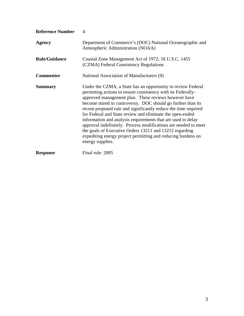| <b>Reference Number</b> | $\overline{\mathcal{A}}$                                                                                                                                                                                                                                                                                                                                                                                                                                                                                                                                                                                                                                              |
|-------------------------|-----------------------------------------------------------------------------------------------------------------------------------------------------------------------------------------------------------------------------------------------------------------------------------------------------------------------------------------------------------------------------------------------------------------------------------------------------------------------------------------------------------------------------------------------------------------------------------------------------------------------------------------------------------------------|
| Agency                  | Department of Commerce's (DOC) National Oceanographic and<br>Atmospheric Administration (NOAA)                                                                                                                                                                                                                                                                                                                                                                                                                                                                                                                                                                        |
| <b>Rule/Guidance</b>    | Coastal Zone Management Act of 1972; 16 U.S.C. 1455<br>(CZMA) Federal Consistency Regulations                                                                                                                                                                                                                                                                                                                                                                                                                                                                                                                                                                         |
| <b>Commenter</b>        | National Association of Manufacturers (9)                                                                                                                                                                                                                                                                                                                                                                                                                                                                                                                                                                                                                             |
| <b>Summary</b>          | Under the CZMA, a State has an opportunity to review Federal<br>permitting actions to ensure consistency with its Federally-<br>approved management plan. These reviews however have<br>become mired in controversy. DOC should go further than its<br>recent proposed rule and significantly reduce the time required<br>for Federal and State review and eliminate the open-ended<br>information and analysis requirements that are used to delay<br>approval indefinitely. Process modifications are needed to meet<br>the goals of Executive Orders 13211 and 13212 regarding<br>expediting energy project permitting and reducing burdens on<br>energy supplies. |
| <b>Response</b>         | Final rule: 2005                                                                                                                                                                                                                                                                                                                                                                                                                                                                                                                                                                                                                                                      |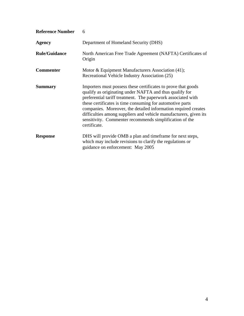| <b>Reference Number</b> | 6                                                                                                                                                                                                                                                                                                                                                                                                                                                                       |
|-------------------------|-------------------------------------------------------------------------------------------------------------------------------------------------------------------------------------------------------------------------------------------------------------------------------------------------------------------------------------------------------------------------------------------------------------------------------------------------------------------------|
| <b>Agency</b>           | Department of Homeland Security (DHS)                                                                                                                                                                                                                                                                                                                                                                                                                                   |
| <b>Rule/Guidance</b>    | North American Free Trade Agreement (NAFTA) Certificates of<br>Origin                                                                                                                                                                                                                                                                                                                                                                                                   |
| <b>Commenter</b>        | Motor & Equipment Manufacturers Association (41);<br>Recreational Vehicle Industry Association (25)                                                                                                                                                                                                                                                                                                                                                                     |
| <b>Summary</b>          | Importers must possess these certificates to prove that goods<br>qualify as originating under NAFTA and thus qualify for<br>preferential tariff treatment. The paperwork associated with<br>these certificates is time consuming for automotive parts<br>companies. Moreover, the detailed information required creates<br>difficulties among suppliers and vehicle manufacturers, given its<br>sensitivity. Commenter recommends simplification of the<br>certificate. |
| <b>Response</b>         | DHS will provide OMB a plan and timeframe for next steps,<br>which may include revisions to clarify the regulations or<br>guidance on enforcement: May 2005                                                                                                                                                                                                                                                                                                             |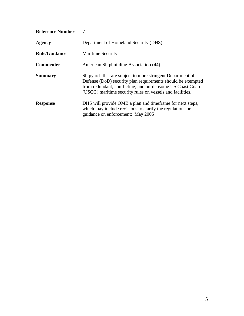| <b>Reference Number</b> |                                                                                                                                                                                                                                                      |
|-------------------------|------------------------------------------------------------------------------------------------------------------------------------------------------------------------------------------------------------------------------------------------------|
| <b>Agency</b>           | Department of Homeland Security (DHS)                                                                                                                                                                                                                |
| <b>Rule/Guidance</b>    | <b>Maritime Security</b>                                                                                                                                                                                                                             |
| <b>Commenter</b>        | American Shipbuilding Association (44)                                                                                                                                                                                                               |
| <b>Summary</b>          | Shipyards that are subject to more stringent Department of<br>Defense (DoD) security plan requirements should be exempted<br>from redundant, conflicting, and burdensome US Coast Guard<br>(USCG) maritime security rules on vessels and facilities. |
| <b>Response</b>         | DHS will provide OMB a plan and time frame for next steps,<br>which may include revisions to clarify the regulations or<br>guidance on enforcement: May 2005                                                                                         |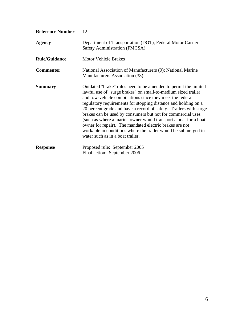| <b>Reference Number</b> | 12                                                                                                                                                                                                                                                                                                                                                                                                                                                                                                                                                                                                                                     |
|-------------------------|----------------------------------------------------------------------------------------------------------------------------------------------------------------------------------------------------------------------------------------------------------------------------------------------------------------------------------------------------------------------------------------------------------------------------------------------------------------------------------------------------------------------------------------------------------------------------------------------------------------------------------------|
| <b>Agency</b>           | Department of Transportation (DOT), Federal Motor Carrier<br>Safety Administration (FMCSA)                                                                                                                                                                                                                                                                                                                                                                                                                                                                                                                                             |
| <b>Rule/Guidance</b>    | <b>Motor Vehicle Brakes</b>                                                                                                                                                                                                                                                                                                                                                                                                                                                                                                                                                                                                            |
| <b>Commenter</b>        | National Association of Manufacturers (9); National Marine<br>Manufacturers Association (38)                                                                                                                                                                                                                                                                                                                                                                                                                                                                                                                                           |
| <b>Summary</b>          | Outdated "brake" rules need to be amended to permit the limited<br>lawful use of "surge brakes" on small-to-medium sized trailer<br>and tow-vehicle combinations since they meet the federal<br>regulatory requirements for stopping distance and holding on a<br>20 percent grade and have a record of safety. Trailers with surge<br>brakes can be used by consumers but not for commercial uses<br>(such as where a marina owner would transport a boat for a boat<br>owner for repair). The mandated electric brakes are not<br>workable in conditions where the trailer would be submerged in<br>water such as in a boat trailer. |
| <b>Response</b>         | Proposed rule: September 2005<br>Final action: September 2006                                                                                                                                                                                                                                                                                                                                                                                                                                                                                                                                                                          |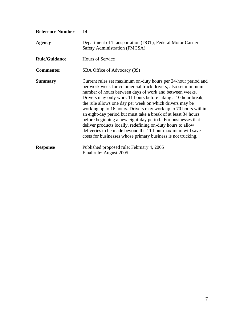| <b>Reference Number</b> | 14                                                                                                                                                                                                                                                                                                                                                                                                                                                                                                                                                                                                                                                                                                                      |
|-------------------------|-------------------------------------------------------------------------------------------------------------------------------------------------------------------------------------------------------------------------------------------------------------------------------------------------------------------------------------------------------------------------------------------------------------------------------------------------------------------------------------------------------------------------------------------------------------------------------------------------------------------------------------------------------------------------------------------------------------------------|
| <b>Agency</b>           | Department of Transportation (DOT), Federal Motor Carrier<br>Safety Administration (FMCSA)                                                                                                                                                                                                                                                                                                                                                                                                                                                                                                                                                                                                                              |
| <b>Rule/Guidance</b>    | <b>Hours of Service</b>                                                                                                                                                                                                                                                                                                                                                                                                                                                                                                                                                                                                                                                                                                 |
| <b>Commenter</b>        | SBA Office of Advocacy (39)                                                                                                                                                                                                                                                                                                                                                                                                                                                                                                                                                                                                                                                                                             |
| <b>Summary</b>          | Current rules set maximum on-duty hours per 24-hour period and<br>per work week for commercial truck drivers; also set minimum<br>number of hours between days of work and between weeks.<br>Drivers may only work 11 hours before taking a 10 hour break;<br>the rule allows one day per week on which drivers may be<br>working up to 16 hours. Drivers may work up to 70 hours within<br>an eight-day period but must take a break of at least 34 hours<br>before beginning a new eight-day period. For businesses that<br>deliver products locally, redefining on-duty hours to allow<br>deliveries to be made beyond the 11-hour maximum will save<br>costs for businesses whose primary business is not trucking. |
| <b>Response</b>         | Published proposed rule: February 4, 2005<br>Final rule: August 2005                                                                                                                                                                                                                                                                                                                                                                                                                                                                                                                                                                                                                                                    |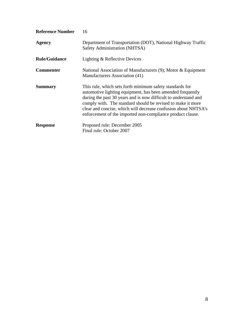| <b>Reference Number</b> | 16                                                                                                                                                                                                                                                                                                                                                                                       |
|-------------------------|------------------------------------------------------------------------------------------------------------------------------------------------------------------------------------------------------------------------------------------------------------------------------------------------------------------------------------------------------------------------------------------|
| <b>Agency</b>           | Department of Transportation (DOT), National Highway Traffic<br>Safety Administration (NHTSA)                                                                                                                                                                                                                                                                                            |
| <b>Rule/Guidance</b>    | Lighting & Reflective Devices                                                                                                                                                                                                                                                                                                                                                            |
| <b>Commenter</b>        | National Association of Manufacturers $(9)$ ; Motor & Equipment<br>Manufacturers Association (41)                                                                                                                                                                                                                                                                                        |
| <b>Summary</b>          | This rule, which sets forth minimum safety standards for<br>automotive lighting equipment, has been amended frequently<br>during the past 30 years and is now difficult to understand and<br>comply with. The standard should be revised to make it more<br>clear and concise, which will decrease confusion about NHTSA's<br>enforcement of the imported non-compliance product clause. |
| <b>Response</b>         | Proposed rule: December 2005<br>Final rule: October 2007                                                                                                                                                                                                                                                                                                                                 |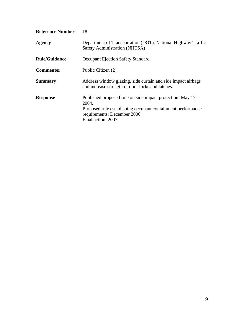| <b>Reference Number</b> | 18                                                                                                                                                                                      |
|-------------------------|-----------------------------------------------------------------------------------------------------------------------------------------------------------------------------------------|
| <b>Agency</b>           | Department of Transportation (DOT), National Highway Traffic<br>Safety Administration (NHTSA)                                                                                           |
| <b>Rule/Guidance</b>    | <b>Occupant Ejection Safety Standard</b>                                                                                                                                                |
| <b>Commenter</b>        | Public Citizen (2)                                                                                                                                                                      |
| <b>Summary</b>          | Address window glazing, side curtain and side impact airbags<br>and increase strength of door locks and latches.                                                                        |
| <b>Response</b>         | Published proposed rule on side impact protection: May 17,<br>2004.<br>Proposed rule establishing occupant containment performance<br>requirements: December 2006<br>Final action: 2007 |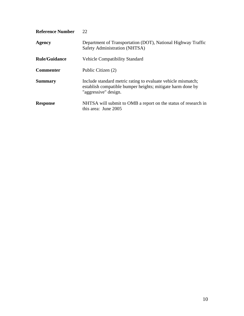| <b>Reference Number</b> | 22                                                                                                                                                 |
|-------------------------|----------------------------------------------------------------------------------------------------------------------------------------------------|
| Agency                  | Department of Transportation (DOT), National Highway Traffic<br>Safety Administration (NHTSA)                                                      |
| <b>Rule/Guidance</b>    | <b>Vehicle Compatibility Standard</b>                                                                                                              |
| <b>Commenter</b>        | Public Citizen (2)                                                                                                                                 |
| <b>Summary</b>          | Include standard metric rating to evaluate vehicle mismatch;<br>establish compatible bumper heights; mitigate harm done by<br>"aggressive" design. |
| <b>Response</b>         | NHTSA will submit to OMB a report on the status of research in<br>this area: June 2005                                                             |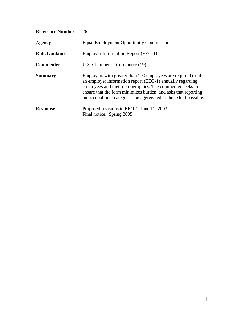| <b>Reference Number</b> | 26                                                                                                                                                                                                                                                                                                                            |
|-------------------------|-------------------------------------------------------------------------------------------------------------------------------------------------------------------------------------------------------------------------------------------------------------------------------------------------------------------------------|
| <b>Agency</b>           | <b>Equal Employment Opportunity Commission</b>                                                                                                                                                                                                                                                                                |
| <b>Rule/Guidance</b>    | <b>Employer Information Report (EEO-1)</b>                                                                                                                                                                                                                                                                                    |
| <b>Commenter</b>        | U.S. Chamber of Commerce (19)                                                                                                                                                                                                                                                                                                 |
| <b>Summary</b>          | Employers with greater than 100 employees are required to file<br>an employer information report (EEO-1) annually regarding<br>employees and their demographics. The commenter seeks to<br>ensure that the form minimizes burden, and asks that reporting<br>on occupational categories be aggregated to the extent possible. |
| <b>Response</b>         | Proposed revisions to EEO-1: June 11, 2003<br>Final notice: Spring 2005                                                                                                                                                                                                                                                       |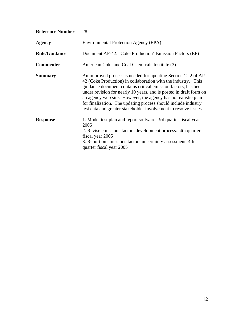| <b>Reference Number</b> | 28                                                                                                                                                                                                                                                                                                                                                                                                                                                                             |
|-------------------------|--------------------------------------------------------------------------------------------------------------------------------------------------------------------------------------------------------------------------------------------------------------------------------------------------------------------------------------------------------------------------------------------------------------------------------------------------------------------------------|
| <b>Agency</b>           | Environmental Protection Agency (EPA)                                                                                                                                                                                                                                                                                                                                                                                                                                          |
| <b>Rule/Guidance</b>    | Document AP-42: "Coke Production" Emission Factors (EF)                                                                                                                                                                                                                                                                                                                                                                                                                        |
| <b>Commenter</b>        | American Coke and Coal Chemicals Institute (3)                                                                                                                                                                                                                                                                                                                                                                                                                                 |
| <b>Summary</b>          | An improved process is needed for updating Section 12.2 of AP-<br>42 (Coke Production) in collaboration with the industry. This<br>guidance document contains critical emission factors, has been<br>under revision for nearly 10 years, and is posted in draft form on<br>an agency web site. However, the agency has no realistic plan<br>for finalization. The updating process should include industry<br>test data and greater stakeholder involvement to resolve issues. |
| <b>Response</b>         | 1. Model test plan and report software: 3rd quarter fiscal year<br>2005<br>2. Revise emissions factors development process: 4th quarter<br>fiscal year 2005<br>3. Report on emissions factors uncertainty assessment: 4th<br>quarter fiscal year 2005                                                                                                                                                                                                                          |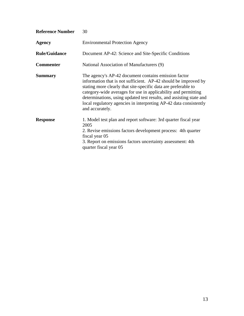| <b>Reference Number</b> | 30                                                                                                                                                                                                                                                                                                                                                                                                                         |
|-------------------------|----------------------------------------------------------------------------------------------------------------------------------------------------------------------------------------------------------------------------------------------------------------------------------------------------------------------------------------------------------------------------------------------------------------------------|
| <b>Agency</b>           | <b>Environmental Protection Agency</b>                                                                                                                                                                                                                                                                                                                                                                                     |
| <b>Rule/Guidance</b>    | Document AP-42: Science and Site-Specific Conditions                                                                                                                                                                                                                                                                                                                                                                       |
| <b>Commenter</b>        | National Association of Manufacturers (9)                                                                                                                                                                                                                                                                                                                                                                                  |
| <b>Summary</b>          | The agency's AP-42 document contains emission factor<br>information that is not sufficient. AP-42 should be improved by<br>stating more clearly that site-specific data are preferable to<br>category-wide averages for use in applicability and permitting<br>determinations, using updated test results, and assisting state and<br>local regulatory agencies in interpreting AP-42 data consistently<br>and accurately. |
| <b>Response</b>         | 1. Model test plan and report software: 3rd quarter fiscal year<br>2005<br>2. Revise emissions factors development process: 4th quarter<br>fiscal year 05<br>3. Report on emissions factors uncertainty assessment: 4th<br>quarter fiscal year 05                                                                                                                                                                          |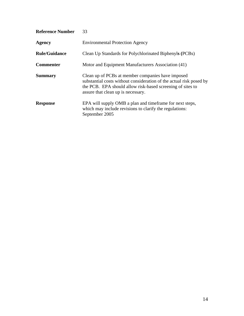| <b>Reference Number</b> | 33                                                                                                                                                                                                                           |
|-------------------------|------------------------------------------------------------------------------------------------------------------------------------------------------------------------------------------------------------------------------|
| <b>Agency</b>           | <b>Environmental Protection Agency</b>                                                                                                                                                                                       |
| <b>Rule/Guidance</b>    | Clean Up Standards for Polychlorinated Biphenyls (PCBs)                                                                                                                                                                      |
| <b>Commenter</b>        | Motor and Equipment Manufacturers Association (41)                                                                                                                                                                           |
| <b>Summary</b>          | Clean up of PCBs at member companies have imposed<br>substantial costs without consideration of the actual risk posed by<br>the PCB. EPA should allow risk-based screening of sites to<br>assure that clean up is necessary. |
| <b>Response</b>         | EPA will supply OMB a plan and timeframe for next steps,<br>which may include revisions to clarify the regulations:<br>September 2005                                                                                        |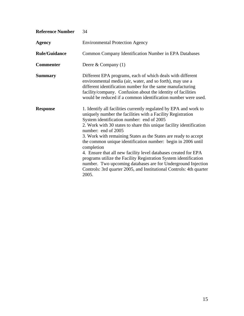| <b>Reference Number</b> | 34                                                                                                                                                                                                                                                                                                                                                                                                                                                                                                                                                                                                                                                                                                                  |
|-------------------------|---------------------------------------------------------------------------------------------------------------------------------------------------------------------------------------------------------------------------------------------------------------------------------------------------------------------------------------------------------------------------------------------------------------------------------------------------------------------------------------------------------------------------------------------------------------------------------------------------------------------------------------------------------------------------------------------------------------------|
| <b>Agency</b>           | <b>Environmental Protection Agency</b>                                                                                                                                                                                                                                                                                                                                                                                                                                                                                                                                                                                                                                                                              |
| <b>Rule/Guidance</b>    | Common Company Identification Number in EPA Databases                                                                                                                                                                                                                                                                                                                                                                                                                                                                                                                                                                                                                                                               |
| <b>Commenter</b>        | Deere & Company $(1)$                                                                                                                                                                                                                                                                                                                                                                                                                                                                                                                                                                                                                                                                                               |
| <b>Summary</b>          | Different EPA programs, each of which deals with different<br>environmental media (air, water, and so forth), may use a<br>different identification number for the same manufacturing<br>facility/company. Confusion about the identity of facilities<br>would be reduced if a common identification number were used.                                                                                                                                                                                                                                                                                                                                                                                              |
| <b>Response</b>         | 1. Identify all facilities currently regulated by EPA and work to<br>uniquely number the facilities with a Facility Registration<br>System identification number: end of 2005<br>2. Work with 30 states to share this unique facility identification<br>number: end of 2005<br>3. Work with remaining States as the States are ready to accept<br>the common unique identification number: begin in 2006 until<br>completion<br>4. Ensure that all new facility level databases created for EPA<br>programs utilize the Facility Registration System identification<br>number. Two upcoming databases are for Underground Injection<br>Controls: 3rd quarter 2005, and Institutional Controls: 4th quarter<br>2005. |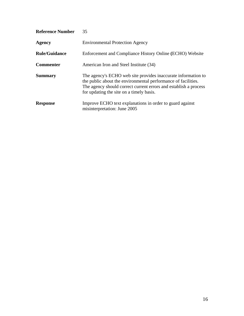| <b>Reference Number</b> | 35                                                                                                                                                                                                                                             |
|-------------------------|------------------------------------------------------------------------------------------------------------------------------------------------------------------------------------------------------------------------------------------------|
| Agency                  | <b>Environmental Protection Agency</b>                                                                                                                                                                                                         |
| <b>Rule/Guidance</b>    | Enforcement and Compliance History Online (ECHO) Website                                                                                                                                                                                       |
| <b>Commenter</b>        | American Iron and Steel Institute (34)                                                                                                                                                                                                         |
| <b>Summary</b>          | The agency's ECHO web site provides inaccurate information to<br>the public about the environmental performance of facilities.<br>The agency should correct current errors and establish a process<br>for updating the site on a timely basis. |
| <b>Response</b>         | Improve ECHO text explanations in order to guard against<br>misinterpretation: June 2005                                                                                                                                                       |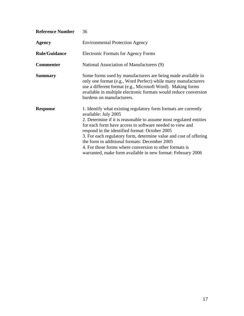| <b>Reference Number</b> | 36                                                                                                                                                                                                                                                                                                                                                                                                                                                                                                                          |
|-------------------------|-----------------------------------------------------------------------------------------------------------------------------------------------------------------------------------------------------------------------------------------------------------------------------------------------------------------------------------------------------------------------------------------------------------------------------------------------------------------------------------------------------------------------------|
| Agency                  | <b>Environmental Protection Agency</b>                                                                                                                                                                                                                                                                                                                                                                                                                                                                                      |
| <b>Rule/Guidance</b>    | <b>Electronic Formats for Agency Forms</b>                                                                                                                                                                                                                                                                                                                                                                                                                                                                                  |
| <b>Commenter</b>        | National Association of Manufacturers (9)                                                                                                                                                                                                                                                                                                                                                                                                                                                                                   |
| <b>Summary</b>          | Some forms used by manufacturers are being made available in<br>only one format (e.g., Word Perfect) while many manufacturers<br>use a different format (e.g., Microsoft Word). Making forms<br>available in multiple electronic formats would reduce conversion<br>burdens on manufacturers.                                                                                                                                                                                                                               |
| <b>Response</b>         | 1. Identify what existing regulatory form formats are currently<br>available: July 2005<br>2. Determine if it is reasonable to assume most regulated entities<br>for each form have access to software needed to view and<br>respond in the identified format: October 2005<br>3. For each regulatory form, determine value and cost of offering<br>the form in additional formats: December 2005<br>4. For those forms where conversion to other formats is<br>warranted, make form available in new format: February 2006 |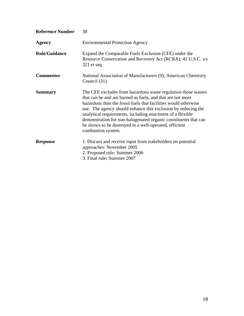| <b>Reference Number</b> | 38                                                                                                                                                                                                                                                                                                                                                                                                                                                                               |
|-------------------------|----------------------------------------------------------------------------------------------------------------------------------------------------------------------------------------------------------------------------------------------------------------------------------------------------------------------------------------------------------------------------------------------------------------------------------------------------------------------------------|
| <b>Agency</b>           | <b>Environmental Protection Agency</b>                                                                                                                                                                                                                                                                                                                                                                                                                                           |
| <b>Rule/Guidance</b>    | Expand the Comparable Fuels Exclusion (CFE) under the<br>Resource Conservation and Recovery Act (RCRA); 42 U.S.C. s/s<br>$321$ et seq                                                                                                                                                                                                                                                                                                                                            |
| <b>Commenter</b>        | National Association of Manufacturers (9); American Chemistry<br>Council (31)                                                                                                                                                                                                                                                                                                                                                                                                    |
| <b>Summary</b>          | The CFE excludes from hazardous waste regulation those wastes<br>that can be and are burned as fuels, and that are not more<br>hazardous than the fossil fuels that facilities would otherwise<br>use. The agency should enhance this exclusion by reducing the<br>analytical requirements, including enactment of a flexible<br>demonstration for non-halogenated organic constituents that can<br>be shown to be destroyed in a well-operated, efficient<br>combustion system. |
| <b>Response</b>         | 1. Discuss and receive input from stakeholders on potential<br>approaches: November 2005<br>2. Proposed rule: Summer 2006<br>3. Final rule: Summer 2007                                                                                                                                                                                                                                                                                                                          |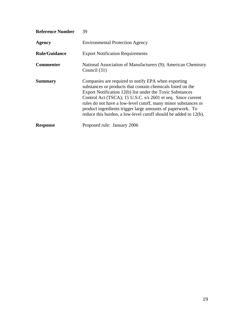| <b>Reference Number</b> | 39                                                                                                                                                                                                                                                                                                                                                                                                                                                  |
|-------------------------|-----------------------------------------------------------------------------------------------------------------------------------------------------------------------------------------------------------------------------------------------------------------------------------------------------------------------------------------------------------------------------------------------------------------------------------------------------|
| <b>Agency</b>           | <b>Environmental Protection Agency</b>                                                                                                                                                                                                                                                                                                                                                                                                              |
| <b>Rule/Guidance</b>    | <b>Export Notification Requirements</b>                                                                                                                                                                                                                                                                                                                                                                                                             |
| <b>Commenter</b>        | National Association of Manufacturers (9); American Chemistry<br>Council (31)                                                                                                                                                                                                                                                                                                                                                                       |
| <b>Summary</b>          | Companies are required to notify EPA when exporting<br>substances or products that contain chemicals listed on the<br>Export Notification 12(b) list under the Toxic Substances<br>Control Act (TSCA); 15 U.S.C. s/s 2601 et seq. Since current<br>rules do not have a low-level cutoff, many minor substances or<br>product ingredients trigger large amounts of paperwork. To<br>reduce this burden, a low-level cutoff should be added to 12(b). |
| <b>Response</b>         | Proposed rule: January 2006                                                                                                                                                                                                                                                                                                                                                                                                                         |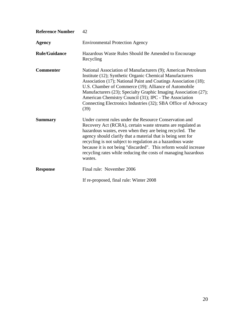| <b>Reference Number</b> | 42                                                                                                                                                                                                                                                                                                                                                                                                                                                                |
|-------------------------|-------------------------------------------------------------------------------------------------------------------------------------------------------------------------------------------------------------------------------------------------------------------------------------------------------------------------------------------------------------------------------------------------------------------------------------------------------------------|
| <b>Agency</b>           | <b>Environmental Protection Agency</b>                                                                                                                                                                                                                                                                                                                                                                                                                            |
| <b>Rule/Guidance</b>    | Hazardous Waste Rules Should Be Amended to Encourage<br>Recycling                                                                                                                                                                                                                                                                                                                                                                                                 |
| <b>Commenter</b>        | National Association of Manufacturers (9); American Petroleum<br>Institute (12); Synthetic Organic Chemical Manufacturers<br>Association (17); National Paint and Coatings Association (18);<br>U.S. Chamber of Commerce (19); Alliance of Automobile<br>Manufacturers (23); Specialty Graphic Imaging Association (27);<br>American Chemistry Council (31); IPC - The Association<br>Connecting Electronics Industries (32); SBA Office of Advocacy<br>(39)      |
| <b>Summary</b>          | Under current rules under the Resource Conservation and<br>Recovery Act (RCRA), certain waste streams are regulated as<br>hazardous wastes, even when they are being recycled. The<br>agency should clarify that a material that is being sent for<br>recycling is not subject to regulation as a hazardous waste<br>because it is not being "discarded". This reform would increase<br>recycling rates while reducing the costs of managing hazardous<br>wastes. |
| <b>Response</b>         | Final rule: November 2006                                                                                                                                                                                                                                                                                                                                                                                                                                         |
|                         | If re-proposed, final rule: Winter 2008                                                                                                                                                                                                                                                                                                                                                                                                                           |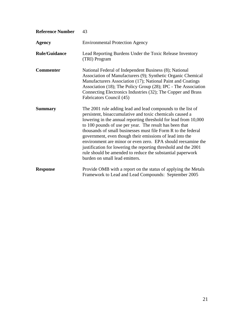| <b>Reference Number</b> | 43                                                                                                                                                                                                                                                                                                                                                                                                                                                                                                                                                                                                                    |
|-------------------------|-----------------------------------------------------------------------------------------------------------------------------------------------------------------------------------------------------------------------------------------------------------------------------------------------------------------------------------------------------------------------------------------------------------------------------------------------------------------------------------------------------------------------------------------------------------------------------------------------------------------------|
| <b>Agency</b>           | <b>Environmental Protection Agency</b>                                                                                                                                                                                                                                                                                                                                                                                                                                                                                                                                                                                |
| <b>Rule/Guidance</b>    | Lead Reporting Burdens Under the Toxic Release Inventory<br>(TRI) Program                                                                                                                                                                                                                                                                                                                                                                                                                                                                                                                                             |
| <b>Commenter</b>        | National Federal of Independent Business (8); National<br>Association of Manufacturers (9); Synthetic Organic Chemical<br>Manufacturers Association (17); National Paint and Coatings<br>Association (18); The Policy Group (28); IPC - The Association<br>Connecting Electronics Industries (32); The Copper and Brass<br>Fabricators Council (45)                                                                                                                                                                                                                                                                   |
| <b>Summary</b>          | The 2001 rule adding lead and lead compounds to the list of<br>persistent, bioaccumulative and toxic chemicals caused a<br>lowering in the annual reporting threshold for lead from 10,000<br>to 100 pounds of use per year. The result has been that<br>thousands of small businesses must file Form R to the federal<br>government, even though their emissions of lead into the<br>environment are minor or even zero. EPA should reexamine the<br>justification for lowering the reporting threshold and the 2001<br>rule should be amended to reduce the substantial paperwork<br>burden on small lead emitters. |
| <b>Response</b>         | Provide OMB with a report on the status of applying the Metals<br>Framework to Lead and Lead Compounds: September 2005                                                                                                                                                                                                                                                                                                                                                                                                                                                                                                |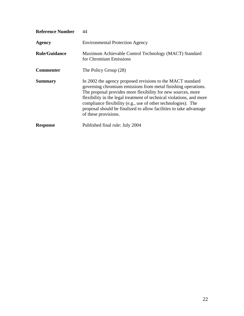| <b>Reference Number</b> | 44                                                                                                                                                                                                                                                                                                                                                                                                                                 |
|-------------------------|------------------------------------------------------------------------------------------------------------------------------------------------------------------------------------------------------------------------------------------------------------------------------------------------------------------------------------------------------------------------------------------------------------------------------------|
| <b>Agency</b>           | <b>Environmental Protection Agency</b>                                                                                                                                                                                                                                                                                                                                                                                             |
| <b>Rule/Guidance</b>    | Maximum Achievable Control Technology (MACT) Standard<br>for Chromium Emissions                                                                                                                                                                                                                                                                                                                                                    |
| <b>Commenter</b>        | The Policy Group (28)                                                                                                                                                                                                                                                                                                                                                                                                              |
| <b>Summary</b>          | In 2002 the agency proposed revisions to the MACT standard<br>governing chromium emissions from metal finishing operations.<br>The proposal provides more flexibility for new sources, more<br>flexibility in the legal treatment of technical violations, and more<br>compliance flexibility (e.g., use of other technologies). The<br>proposal should be finalized to allow facilities to take advantage<br>of these provisions. |
| <b>Response</b>         | Published final rule: July 2004                                                                                                                                                                                                                                                                                                                                                                                                    |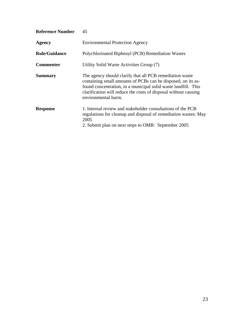| <b>Reference Number</b> | 45                                                                                                                                                                                                                                                                                   |
|-------------------------|--------------------------------------------------------------------------------------------------------------------------------------------------------------------------------------------------------------------------------------------------------------------------------------|
| <b>Agency</b>           | <b>Environmental Protection Agency</b>                                                                                                                                                                                                                                               |
| <b>Rule/Guidance</b>    | Polychlorinated Biphenyl (PCB) Remediation Wastes                                                                                                                                                                                                                                    |
| <b>Commenter</b>        | Utility Solid Waste Activities Group (7)                                                                                                                                                                                                                                             |
| <b>Summary</b>          | The agency should clarify that all PCB remediation waste<br>containing small amounts of PCBs can be disposed, on its as-<br>found concentration, in a municipal solid waste landfill. This<br>clarification will reduce the costs of disposal without causing<br>environmental harm. |
| <b>Response</b>         | 1. Internal review and stakeholder consultations of the PCB<br>regulations for cleanup and disposal of remediation wastes: May<br>2005<br>2. Submit plan on next steps to OMB: September 2005                                                                                        |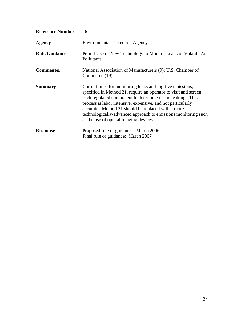| <b>Reference Number</b> | 46                                                                                                                                                                                                                                                                                                                                                                                                                             |
|-------------------------|--------------------------------------------------------------------------------------------------------------------------------------------------------------------------------------------------------------------------------------------------------------------------------------------------------------------------------------------------------------------------------------------------------------------------------|
| <b>Agency</b>           | <b>Environmental Protection Agency</b>                                                                                                                                                                                                                                                                                                                                                                                         |
| <b>Rule/Guidance</b>    | Permit Use of New Technology to Monitor Leaks of Volatile Air<br>Pollutants                                                                                                                                                                                                                                                                                                                                                    |
| <b>Commenter</b>        | National Association of Manufacturers (9); U.S. Chamber of<br>Commerce (19)                                                                                                                                                                                                                                                                                                                                                    |
| <b>Summary</b>          | Current rules for monitoring leaks and fugitive emissions,<br>specified in Method 21, require an operator to visit and screen<br>each regulated component to determine if it is leaking. This<br>process is labor intensive, expensive, and not particularly<br>accurate. Method 21 should be replaced with a more<br>technologically-advanced approach to emissions monitoring such<br>as the use of optical imaging devices. |
| <b>Response</b>         | Proposed rule or guidance: March 2006<br>Final rule or guidance: March 2007                                                                                                                                                                                                                                                                                                                                                    |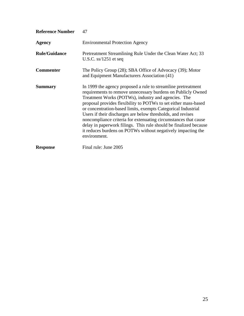| <b>Reference Number</b> | 47                                                                                                                                                                                                                                                                                                                                                                                                                                                                                                                                                                                                              |
|-------------------------|-----------------------------------------------------------------------------------------------------------------------------------------------------------------------------------------------------------------------------------------------------------------------------------------------------------------------------------------------------------------------------------------------------------------------------------------------------------------------------------------------------------------------------------------------------------------------------------------------------------------|
| <b>Agency</b>           | <b>Environmental Protection Agency</b>                                                                                                                                                                                                                                                                                                                                                                                                                                                                                                                                                                          |
| <b>Rule/Guidance</b>    | Pretreatment Streamlining Rule Under the Clean Water Act; 33<br>U.S.C. $ss/1251$ et seq                                                                                                                                                                                                                                                                                                                                                                                                                                                                                                                         |
| <b>Commenter</b>        | The Policy Group (28); SBA Office of Advocacy (39); Motor<br>and Equipment Manufacturers Association (41)                                                                                                                                                                                                                                                                                                                                                                                                                                                                                                       |
| <b>Summary</b>          | In 1999 the agency proposed a rule to streamline pretreatment<br>requirements to remove unnecessary burdens on Publicly Owned<br>Treatment Works (POTWs), industry and agencies. The<br>proposal provides flexibility to POTWs to set either mass-based<br>or concentration-based limits, exempts Categorical Industrial<br>Users if their discharges are below thresholds, and revises<br>noncompliance criteria for extenuating circumstances that cause<br>delay in paperwork filings. This rule should be finalized because<br>it reduces burdens on POTWs without negatively impacting the<br>environment. |
| <b>Response</b>         | Final rule: June 2005                                                                                                                                                                                                                                                                                                                                                                                                                                                                                                                                                                                           |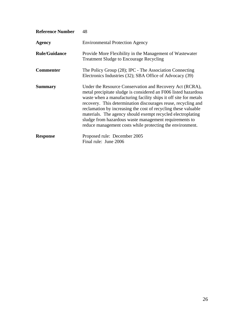| <b>Reference Number</b> | 48                                                                                                                                                                                                                                                                                                                                                                                                                                                                                                                       |
|-------------------------|--------------------------------------------------------------------------------------------------------------------------------------------------------------------------------------------------------------------------------------------------------------------------------------------------------------------------------------------------------------------------------------------------------------------------------------------------------------------------------------------------------------------------|
| Agency                  | <b>Environmental Protection Agency</b>                                                                                                                                                                                                                                                                                                                                                                                                                                                                                   |
| <b>Rule/Guidance</b>    | Provide More Flexibility in the Management of Wastewater<br><b>Treatment Sludge to Encourage Recycling</b>                                                                                                                                                                                                                                                                                                                                                                                                               |
| <b>Commenter</b>        | The Policy Group (28); IPC - The Association Connecting<br>Electronics Industries (32); SBA Office of Advocacy (39)                                                                                                                                                                                                                                                                                                                                                                                                      |
| <b>Summary</b>          | Under the Resource Conservation and Recovery Act (RCRA),<br>metal precipitate sludge is considered an F006 listed hazardous<br>waste when a manufacturing facility ships it off site for metals<br>recovery. This determination discourages reuse, recycling and<br>reclamation by increasing the cost of recycling these valuable<br>materials. The agency should exempt recycled electroplating<br>sludge from hazardous waste management requirements to<br>reduce management costs while protecting the environment. |
| <b>Response</b>         | Proposed rule: December 2005<br>Final rule: June 2006                                                                                                                                                                                                                                                                                                                                                                                                                                                                    |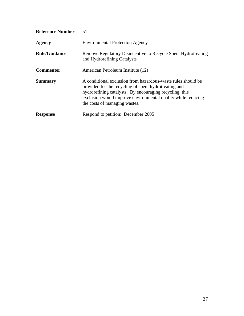| <b>Reference Number</b> | 51                                                                                                                                                                                                                                                                                |
|-------------------------|-----------------------------------------------------------------------------------------------------------------------------------------------------------------------------------------------------------------------------------------------------------------------------------|
| <b>Agency</b>           | <b>Environmental Protection Agency</b>                                                                                                                                                                                                                                            |
| <b>Rule/Guidance</b>    | Remove Regulatory Disincentive to Recycle Spent Hydrotreating<br>and Hydrorefining Catalysts                                                                                                                                                                                      |
| <b>Commenter</b>        | American Petroleum Institute (12)                                                                                                                                                                                                                                                 |
| <b>Summary</b>          | A conditional exclusion from hazardous-waste rules should be<br>provided for the recycling of spent hydrotreating and<br>hydrorefining catalysts. By encouraging recycling, this<br>exclusion would improve environmental quality while reducing<br>the costs of managing wastes. |
| <b>Response</b>         | Respond to petition: December 2005                                                                                                                                                                                                                                                |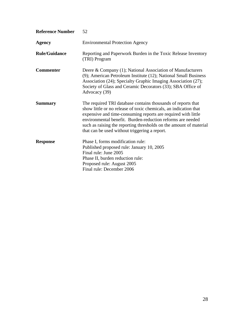| <b>Reference Number</b> | 52                                                                                                                                                                                                                                                                                                                                                                                     |
|-------------------------|----------------------------------------------------------------------------------------------------------------------------------------------------------------------------------------------------------------------------------------------------------------------------------------------------------------------------------------------------------------------------------------|
| <b>Agency</b>           | <b>Environmental Protection Agency</b>                                                                                                                                                                                                                                                                                                                                                 |
| <b>Rule/Guidance</b>    | Reporting and Paperwork Burden in the Toxic Release Inventory<br>(TRI) Program                                                                                                                                                                                                                                                                                                         |
| <b>Commenter</b>        | Deere & Company (1); National Association of Manufacturers<br>(9); American Petroleum Institute (12); National Small Business<br>Association (24); Specialty Graphic Imaging Association (27);<br>Society of Glass and Ceramic Decorators (33); SBA Office of<br>Advocacy (39)                                                                                                         |
| <b>Summary</b>          | The required TRI database contains thousands of reports that<br>show little or no release of toxic chemicals, an indication that<br>expensive and time-consuming reports are required with little<br>environmental benefit. Burden-reduction reforms are needed<br>such as raising the reporting thresholds on the amount of material<br>that can be used without triggering a report. |
| <b>Response</b>         | Phase I, forms modification rule:<br>Published proposed rule: January 10, 2005<br>Final rule: June 2005<br>Phase II, burden reduction rule:<br>Proposed rule: August 2005<br>Final rule: December 2006                                                                                                                                                                                 |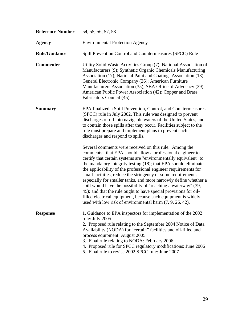| <b>Reference Number</b> | 54, 55, 56, 57, 58                                                                                                                                                                                                                                                                                                                                                                                                                                                                                                                                                                                                                                                                                                                        |
|-------------------------|-------------------------------------------------------------------------------------------------------------------------------------------------------------------------------------------------------------------------------------------------------------------------------------------------------------------------------------------------------------------------------------------------------------------------------------------------------------------------------------------------------------------------------------------------------------------------------------------------------------------------------------------------------------------------------------------------------------------------------------------|
| Agency                  | <b>Environmental Protection Agency</b>                                                                                                                                                                                                                                                                                                                                                                                                                                                                                                                                                                                                                                                                                                    |
| <b>Rule/Guidance</b>    | Spill Prevention Control and Countermeasures (SPCC) Rule                                                                                                                                                                                                                                                                                                                                                                                                                                                                                                                                                                                                                                                                                  |
| <b>Commenter</b>        | Utility Solid Waste Activities Group (7); National Association of<br>Manufacturers (9); Synthetic Organic Chemicals Manufacturing<br>Association (17); National Paint and Coatings Association (18);<br>General Electronic Company (26); American Furniture<br>Manufacturers Association (35); SBA Office of Advocacy (39);<br>American Public Power Association (42); Copper and Brass<br>Fabricators Council (45)                                                                                                                                                                                                                                                                                                                       |
| <b>Summary</b>          | EPA finalized a Spill Prevention, Control, and Countermeasures<br>(SPCC) rule in July 2002. This rule was designed to prevent<br>discharges of oil into navigable waters of the United States, and<br>to contain those spills after they occur. Facilities subject to the<br>rule must prepare and implement plans to prevent such<br>discharges and respond to spills.                                                                                                                                                                                                                                                                                                                                                                   |
|                         | Several comments were received on this rule. Among the<br>comments: that EPA should allow a professional engineer to<br>certify that certain systems are "environmentally equivalent" to<br>the mandatory integrity testing (18); that EPA should eliminate<br>the applicability of the professional engineer requirements for<br>small facilities, reduce the stringency of some requirements,<br>especially for smaller tanks, and more narrowly define whether a<br>spill would have the possibility of "reaching a waterway" (39,<br>45); and that the rule ought to have special provisions for oil-<br>filled electrical equipment, because such equipment is widely<br>used with low risk of environmental harm $(7, 9, 26, 42)$ . |
| <b>Response</b>         | 1. Guidance to EPA inspectors for implementation of the 2002<br>rule: July 2005<br>2. Proposed rule relating to the September 2004 Notice of Data<br>Availability (NODA) for "certain" facilities and oil-filled and<br>process equipment: August 2005<br>3. Final rule relating to NODA: February 2006<br>4. Proposed rule for SPCC regulatory modifications: June 2006<br>5. Final rule to revise 2002 SPCC rule: June 2007                                                                                                                                                                                                                                                                                                             |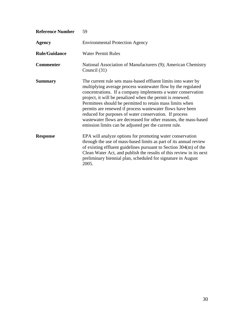| <b>Reference Number</b> | 59                                                                                                                                                                                                                                                                                                                                                                                                                                                                                                                                                                           |
|-------------------------|------------------------------------------------------------------------------------------------------------------------------------------------------------------------------------------------------------------------------------------------------------------------------------------------------------------------------------------------------------------------------------------------------------------------------------------------------------------------------------------------------------------------------------------------------------------------------|
| <b>Agency</b>           | <b>Environmental Protection Agency</b>                                                                                                                                                                                                                                                                                                                                                                                                                                                                                                                                       |
| <b>Rule/Guidance</b>    | <b>Water Permit Rules</b>                                                                                                                                                                                                                                                                                                                                                                                                                                                                                                                                                    |
| <b>Commenter</b>        | National Association of Manufacturers (9); American Chemistry<br>Council (31)                                                                                                                                                                                                                                                                                                                                                                                                                                                                                                |
| <b>Summary</b>          | The current rule sets mass-based effluent limits into water by<br>multiplying average process wastewater flow by the regulated<br>concentrations. If a company implements a water conservation<br>project, it will be penalized when the permit is renewed.<br>Permittees should be permitted to retain mass limits when<br>permits are renewed if process wastewater flows have been<br>reduced for purposes of water conservation. If process<br>wastewater flows are decreased for other reasons, the mass-based<br>emission limits can be adjusted per the current rule. |
| <b>Response</b>         | EPA will analyze options for promoting water conservation<br>through the use of mass-based limits as part of its annual review<br>of existing effluent guidelines pursuant to Section 304(m) of the<br>Clean Water Act, and publish the results of this review in its next<br>preliminary biennial plan, scheduled for signature in August<br>2005.                                                                                                                                                                                                                          |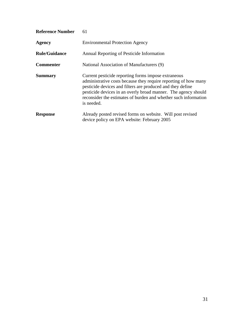| <b>Reference Number</b> | 61                                                                                                                                                                                                                                                                                                                                      |
|-------------------------|-----------------------------------------------------------------------------------------------------------------------------------------------------------------------------------------------------------------------------------------------------------------------------------------------------------------------------------------|
| Agency                  | <b>Environmental Protection Agency</b>                                                                                                                                                                                                                                                                                                  |
| <b>Rule/Guidance</b>    | Annual Reporting of Pesticide Information                                                                                                                                                                                                                                                                                               |
| <b>Commenter</b>        | National Association of Manufacturers (9)                                                                                                                                                                                                                                                                                               |
| <b>Summary</b>          | Current pesticide reporting forms impose extraneous<br>administrative costs because they require reporting of how many<br>pesticide devices and filters are produced and they define<br>pesticide devices in an overly broad manner. The agency should<br>reconsider the estimates of burden and whether such information<br>is needed. |
| <b>Response</b>         | Already posted revised forms on website. Will post revised<br>device policy on EPA website: February 2005                                                                                                                                                                                                                               |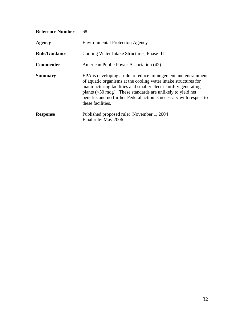| <b>Reference Number</b> | 68                                                                                                                                                                                                                                                                                                                                                                          |
|-------------------------|-----------------------------------------------------------------------------------------------------------------------------------------------------------------------------------------------------------------------------------------------------------------------------------------------------------------------------------------------------------------------------|
| <b>Agency</b>           | <b>Environmental Protection Agency</b>                                                                                                                                                                                                                                                                                                                                      |
| <b>Rule/Guidance</b>    | Cooling Water Intake Structures, Phase III                                                                                                                                                                                                                                                                                                                                  |
| <b>Commenter</b>        | American Public Power Association (42)                                                                                                                                                                                                                                                                                                                                      |
| <b>Summary</b>          | EPA is developing a rule to reduce impingement and entrainment<br>of aquatic organisms at the cooling water intake structures for<br>manufacturing facilities and smaller electric utility generating<br>plants $(<50 \text{ mdg})$ . These standards are unlikely to yield net<br>benefits and no further Federal action is necessary with respect to<br>these facilities. |
| <b>Response</b>         | Published proposed rule: November 1, 2004<br>Final rule: May 2006                                                                                                                                                                                                                                                                                                           |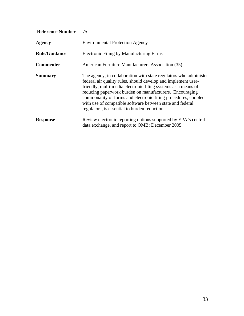| <b>Reference Number</b> | 75                                                                                                                                                                                                                                                                                                                                                                                                                                             |
|-------------------------|------------------------------------------------------------------------------------------------------------------------------------------------------------------------------------------------------------------------------------------------------------------------------------------------------------------------------------------------------------------------------------------------------------------------------------------------|
| <b>Agency</b>           | <b>Environmental Protection Agency</b>                                                                                                                                                                                                                                                                                                                                                                                                         |
| <b>Rule/Guidance</b>    | <b>Electronic Filing by Manufacturing Firms</b>                                                                                                                                                                                                                                                                                                                                                                                                |
| <b>Commenter</b>        | American Furniture Manufacturers Association (35)                                                                                                                                                                                                                                                                                                                                                                                              |
| <b>Summary</b>          | The agency, in collaboration with state regulators who administer<br>federal air quality rules, should develop and implement user-<br>friendly, multi-media electronic filing systems as a means of<br>reducing paperwork burden on manufacturers. Encouraging<br>commonality of forms and electronic filing procedures, coupled<br>with use of compatible software between state and federal<br>regulators, is essential to burden reduction. |
| <b>Response</b>         | Review electronic reporting options supported by EPA's central<br>data exchange, and report to OMB: December 2005                                                                                                                                                                                                                                                                                                                              |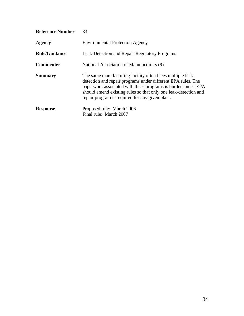| <b>Reference Number</b> | 83                                                                                                                                                                                                                                                                                                              |
|-------------------------|-----------------------------------------------------------------------------------------------------------------------------------------------------------------------------------------------------------------------------------------------------------------------------------------------------------------|
| <b>Agency</b>           | <b>Environmental Protection Agency</b>                                                                                                                                                                                                                                                                          |
| <b>Rule/Guidance</b>    | Leak-Detection and Repair Regulatory Programs                                                                                                                                                                                                                                                                   |
| <b>Commenter</b>        | National Association of Manufacturers (9)                                                                                                                                                                                                                                                                       |
| <b>Summary</b>          | The same manufacturing facility often faces multiple leak-<br>detection and repair programs under different EPA rules. The<br>paperwork associated with these programs is burdensome. EPA<br>should amend existing rules so that only one leak-detection and<br>repair program is required for any given plant. |
| <b>Response</b>         | Proposed rule: March 2006<br>Final rule: March 2007                                                                                                                                                                                                                                                             |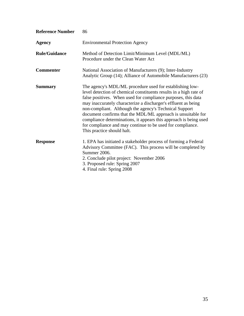| <b>Reference Number</b> | 86                                                                                                                                                                                                                                                                                                                                                                                                                                                                                                                                                           |
|-------------------------|--------------------------------------------------------------------------------------------------------------------------------------------------------------------------------------------------------------------------------------------------------------------------------------------------------------------------------------------------------------------------------------------------------------------------------------------------------------------------------------------------------------------------------------------------------------|
| <b>Agency</b>           | <b>Environmental Protection Agency</b>                                                                                                                                                                                                                                                                                                                                                                                                                                                                                                                       |
| <b>Rule/Guidance</b>    | Method of Detection Limit/Minimum Level (MDL/ML)<br>Procedure under the Clean Water Act                                                                                                                                                                                                                                                                                                                                                                                                                                                                      |
| <b>Commenter</b>        | National Association of Manufacturers (9); Inter-Industry<br>Analytic Group (14); Alliance of Automobile Manufacturers (23)                                                                                                                                                                                                                                                                                                                                                                                                                                  |
| <b>Summary</b>          | The agency's MDL/ML procedure used for establishing low-<br>level detection of chemical constituents results in a high rate of<br>false positives. When used for compliance purposes, this data<br>may inaccurately characterize a discharger's effluent as being<br>non-compliant. Although the agency's Technical Support<br>document confirms that the MDL/ML approach is unsuitable for<br>compliance determinations, it appears this approach is being used<br>for compliance and may continue to be used for compliance.<br>This practice should halt. |
| <b>Response</b>         | 1. EPA has initiated a stakeholder process of forming a Federal<br>Advisory Committee (FAC). This process will be completed by<br>Summer 2006.<br>2. Conclude pilot project: November 2006<br>3. Proposed rule: Spring 2007<br>4. Final rule: Spring 2008                                                                                                                                                                                                                                                                                                    |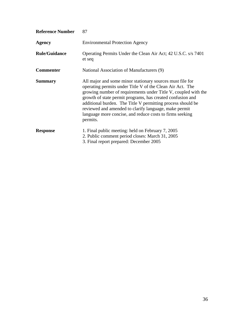| <b>Reference Number</b> | 87                                                                                                                                                                                                                                                                                                                                                                                                                                                     |
|-------------------------|--------------------------------------------------------------------------------------------------------------------------------------------------------------------------------------------------------------------------------------------------------------------------------------------------------------------------------------------------------------------------------------------------------------------------------------------------------|
| Agency                  | <b>Environmental Protection Agency</b>                                                                                                                                                                                                                                                                                                                                                                                                                 |
| <b>Rule/Guidance</b>    | Operating Permits Under the Clean Air Act; 42 U.S.C. s/s 7401<br>et seq                                                                                                                                                                                                                                                                                                                                                                                |
| <b>Commenter</b>        | National Association of Manufacturers (9)                                                                                                                                                                                                                                                                                                                                                                                                              |
| <b>Summary</b>          | All major and some minor stationary sources must file for<br>operating permits under Title V of the Clean Air Act. The<br>growing number of requirements under Title V, coupled with the<br>growth of state permit programs, has created confusion and<br>additional burden. The Title V permitting process should be<br>reviewed and amended to clarify language, make permit<br>language more concise, and reduce costs to firms seeking<br>permits. |
| <b>Response</b>         | 1. Final public meeting: held on February 7, 2005<br>2. Public comment period closes: March 31, 2005<br>3. Final report prepared: December 2005                                                                                                                                                                                                                                                                                                        |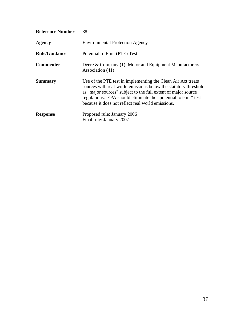| <b>Reference Number</b> | 88                                                                                                                                                                                                                                                                                                                      |
|-------------------------|-------------------------------------------------------------------------------------------------------------------------------------------------------------------------------------------------------------------------------------------------------------------------------------------------------------------------|
| Agency                  | <b>Environmental Protection Agency</b>                                                                                                                                                                                                                                                                                  |
| <b>Rule/Guidance</b>    | Potential to Emit (PTE) Test                                                                                                                                                                                                                                                                                            |
| <b>Commenter</b>        | Deere & Company (1); Motor and Equipment Manufacturers<br>Association (41)                                                                                                                                                                                                                                              |
| <b>Summary</b>          | Use of the PTE test in implementing the Clean Air Act treats<br>sources with real-world emissions below the statutory threshold<br>as "major sources" subject to the full extent of major source<br>regulations. EPA should eliminate the "potential to emit" test<br>because it does not reflect real world emissions. |
| <b>Response</b>         | Proposed rule: January 2006<br>Final rule: January 2007                                                                                                                                                                                                                                                                 |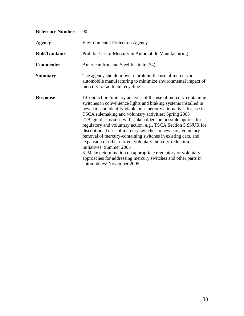| <b>Reference Number</b> | 90                                                                                                                                                                                                                                                                                                                                                                                                                                                                                                                                                                                                                                                                                                                                                                                        |
|-------------------------|-------------------------------------------------------------------------------------------------------------------------------------------------------------------------------------------------------------------------------------------------------------------------------------------------------------------------------------------------------------------------------------------------------------------------------------------------------------------------------------------------------------------------------------------------------------------------------------------------------------------------------------------------------------------------------------------------------------------------------------------------------------------------------------------|
| Agency                  | <b>Environmental Protection Agency</b>                                                                                                                                                                                                                                                                                                                                                                                                                                                                                                                                                                                                                                                                                                                                                    |
| <b>Rule/Guidance</b>    | Prohibit Use of Mercury in Automobile Manufacturing                                                                                                                                                                                                                                                                                                                                                                                                                                                                                                                                                                                                                                                                                                                                       |
| <b>Commenter</b>        | American Iron and Steel Institute (34)                                                                                                                                                                                                                                                                                                                                                                                                                                                                                                                                                                                                                                                                                                                                                    |
| <b>Summary</b>          | The agency should move to prohibit the use of mercury in<br>automobile manufacturing to minimize environmental impact of<br>mercury to facilitate recycling.                                                                                                                                                                                                                                                                                                                                                                                                                                                                                                                                                                                                                              |
| <b>Response</b>         | 1. Conduct preliminary analysis of the use of mercury-containing<br>switches in convenience lights and braking systems installed in<br>new cars and identify viable non-mercury alternatives for use in<br>TSCA rulemaking and voluntary activities: Spring 2005<br>2. Begin discussions with stakeholders on possible options for<br>regulatory and voluntary action, e.g., TSCA Section 5 SNUR for<br>discontinued uses of mercury switches in new cars, voluntary<br>removal of mercury-containing switches in existing cars, and<br>expansion of other current voluntary mercury-reduction<br>initiatives: Summer 2005<br>3. Make determination on appropriate regulatory or voluntary<br>approaches for addressing mercury switches and other parts in<br>automobiles: November 2005 |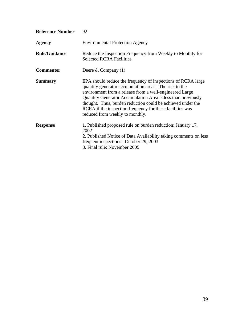| <b>Reference Number</b> | 92                                                                                                                                                                                                                                                                                                                                                                                                               |
|-------------------------|------------------------------------------------------------------------------------------------------------------------------------------------------------------------------------------------------------------------------------------------------------------------------------------------------------------------------------------------------------------------------------------------------------------|
| <b>Agency</b>           | <b>Environmental Protection Agency</b>                                                                                                                                                                                                                                                                                                                                                                           |
| <b>Rule/Guidance</b>    | Reduce the Inspection Frequency from Weekly to Monthly for<br><b>Selected RCRA Facilities</b>                                                                                                                                                                                                                                                                                                                    |
| <b>Commenter</b>        | Deere & Company $(1)$                                                                                                                                                                                                                                                                                                                                                                                            |
| <b>Summary</b>          | EPA should reduce the frequency of inspections of RCRA large<br>quantity generator accumulation areas. The risk to the<br>environment from a release from a well-engineered Large<br>Quantity Generator Accumulation Area is less than previously<br>thought. Thus, burden reduction could be achieved under the<br>RCRA if the inspection frequency for these facilities was<br>reduced from weekly to monthly. |
| <b>Response</b>         | 1. Published proposed rule on burden reduction: January 17,<br>2002<br>2. Published Notice of Data Availability taking comments on less<br>frequent inspections: October 29, 2003<br>3. Final rule: November 2005                                                                                                                                                                                                |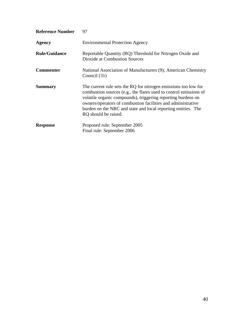| <b>Reference Number</b> | 97                                                                                                                                                                                                                                                                                                                                                            |
|-------------------------|---------------------------------------------------------------------------------------------------------------------------------------------------------------------------------------------------------------------------------------------------------------------------------------------------------------------------------------------------------------|
| <b>Agency</b>           | <b>Environmental Protection Agency</b>                                                                                                                                                                                                                                                                                                                        |
| <b>Rule/Guidance</b>    | Reportable Quantity (RQ) Threshold for Nitrogen Oxide and<br><b>Dioxide at Combustion Sources</b>                                                                                                                                                                                                                                                             |
| <b>Commenter</b>        | National Association of Manufacturers (9); American Chemistry<br>Council (31)                                                                                                                                                                                                                                                                                 |
| <b>Summary</b>          | The current rule sets the RQ for nitrogen emissions too low for<br>combustion sources (e.g., the flares used to control emissions of<br>volatile organic compounds), triggering reporting burdens on<br>owners/operators of combustion facilities and administrative<br>burden on the NRC and state and local reporting entities. The<br>RQ should be raised. |
| <b>Response</b>         | Proposed rule: September 2005                                                                                                                                                                                                                                                                                                                                 |
|                         | Final rule: September 2006                                                                                                                                                                                                                                                                                                                                    |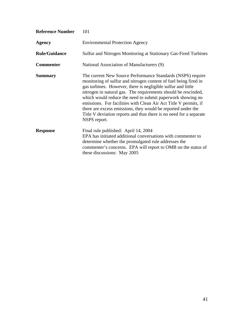| <b>Reference Number</b> | 101                                                                                                                                                                                                                                                                                                                                                                                                                                                                                                                                                       |
|-------------------------|-----------------------------------------------------------------------------------------------------------------------------------------------------------------------------------------------------------------------------------------------------------------------------------------------------------------------------------------------------------------------------------------------------------------------------------------------------------------------------------------------------------------------------------------------------------|
| <b>Agency</b>           | <b>Environmental Protection Agency</b>                                                                                                                                                                                                                                                                                                                                                                                                                                                                                                                    |
| <b>Rule/Guidance</b>    | Sulfur and Nitrogen Monitoring at Stationary Gas-Fired Turbines                                                                                                                                                                                                                                                                                                                                                                                                                                                                                           |
| <b>Commenter</b>        | National Association of Manufacturers (9)                                                                                                                                                                                                                                                                                                                                                                                                                                                                                                                 |
| <b>Summary</b>          | The current New Source Performance Standards (NSPS) require<br>monitoring of sulfur and nitrogen content of fuel being fired in<br>gas turbines. However, there is negligible sulfur and little<br>nitrogen in natural gas. The requirements should be rescinded,<br>which would reduce the need to submit paperwork showing no<br>emissions. For facilities with Clean Air Act Title V permits, if<br>there are excess emissions, they would be reported under the<br>Title V deviation reports and thus there is no need for a separate<br>NSPS report. |
| <b>Response</b>         | Final rule published: April 14, 2004<br>EPA has initiated additional conversations with commenter to<br>determine whether the promulgated rule addresses the<br>commenter's concerns. EPA will report to OMB on the status of<br>these discussions: May 2005                                                                                                                                                                                                                                                                                              |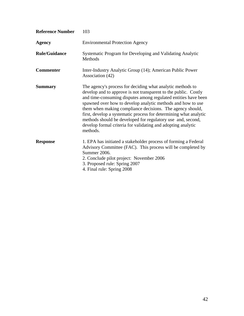| <b>Reference Number</b> | 103                                                                                                                                                                                                                                                                                                                                                                                                                                                                                                                                         |
|-------------------------|---------------------------------------------------------------------------------------------------------------------------------------------------------------------------------------------------------------------------------------------------------------------------------------------------------------------------------------------------------------------------------------------------------------------------------------------------------------------------------------------------------------------------------------------|
| <b>Agency</b>           | <b>Environmental Protection Agency</b>                                                                                                                                                                                                                                                                                                                                                                                                                                                                                                      |
| <b>Rule/Guidance</b>    | Systematic Program for Developing and Validating Analytic<br>Methods                                                                                                                                                                                                                                                                                                                                                                                                                                                                        |
| <b>Commenter</b>        | Inter-Industry Analytic Group (14); American Public Power<br>Association (42)                                                                                                                                                                                                                                                                                                                                                                                                                                                               |
| <b>Summary</b>          | The agency's process for deciding what analytic methods to<br>develop and to approve is not transparent to the public. Costly<br>and time-consuming disputes among regulated entities have been<br>spawned over how to develop analytic methods and how to use<br>them when making compliance decisions. The agency should,<br>first, develop a systematic process for determining what analytic<br>methods should be developed for regulatory use and, second,<br>develop formal criteria for validating and adopting analytic<br>methods. |
| <b>Response</b>         | 1. EPA has initiated a stakeholder process of forming a Federal<br>Advisory Committee (FAC). This process will be completed by<br>Summer 2006.<br>2. Conclude pilot project: November 2006<br>3. Proposed rule: Spring 2007<br>4. Final rule: Spring 2008                                                                                                                                                                                                                                                                                   |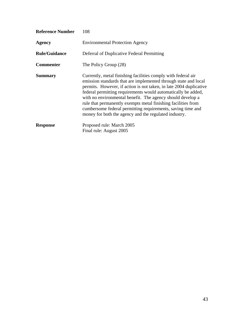| 108                                                                                                                                                                                                                                                                                                                                                                                                                                                                                                                            |
|--------------------------------------------------------------------------------------------------------------------------------------------------------------------------------------------------------------------------------------------------------------------------------------------------------------------------------------------------------------------------------------------------------------------------------------------------------------------------------------------------------------------------------|
| <b>Environmental Protection Agency</b>                                                                                                                                                                                                                                                                                                                                                                                                                                                                                         |
| Deferral of Duplicative Federal Permitting                                                                                                                                                                                                                                                                                                                                                                                                                                                                                     |
| The Policy Group (28)                                                                                                                                                                                                                                                                                                                                                                                                                                                                                                          |
| Currently, metal finishing facilities comply with federal air<br>emission standards that are implemented through state and local<br>permits. However, if action is not taken, in late 2004 duplicative<br>federal permitting requirements would automatically be added,<br>with no environmental benefit. The agency should develop a<br>rule that permanently exempts metal finishing facilities from<br>cumbersome federal permitting requirements, saving time and<br>money for both the agency and the regulated industry. |
| Proposed rule: March 2005<br>Final rule: August 2005                                                                                                                                                                                                                                                                                                                                                                                                                                                                           |
|                                                                                                                                                                                                                                                                                                                                                                                                                                                                                                                                |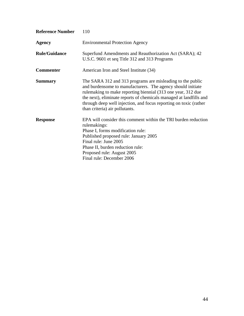| <b>Reference Number</b> | 110                                                                                                                                                                                                                                                                                                                                                                    |
|-------------------------|------------------------------------------------------------------------------------------------------------------------------------------------------------------------------------------------------------------------------------------------------------------------------------------------------------------------------------------------------------------------|
| <b>Agency</b>           | <b>Environmental Protection Agency</b>                                                                                                                                                                                                                                                                                                                                 |
| <b>Rule/Guidance</b>    | Superfund Amendments and Reauthorization Act (SARA); 42<br>U.S.C. 9601 et seq Title 312 and 313 Programs                                                                                                                                                                                                                                                               |
| <b>Commenter</b>        | American Iron and Steel Institute (34)                                                                                                                                                                                                                                                                                                                                 |
| <b>Summary</b>          | The SARA 312 and 313 programs are misleading to the public<br>and burdensome to manufacturers. The agency should initiate<br>rulemaking to make reporting biennial (313 one year, 312 due<br>the next), eliminate reports of chemicals managed at landfills and<br>through deep well injection, and focus reporting on toxic (rather<br>than criteria) air pollutants. |
| <b>Response</b>         | EPA will consider this comment within the TRI burden reduction<br>rulemakings:<br>Phase I, forms modification rule:<br>Published proposed rule: January 2005<br>Final rule: June 2005<br>Phase II, burden reduction rule:<br>Proposed rule: August 2005<br>Final rule: December 2006                                                                                   |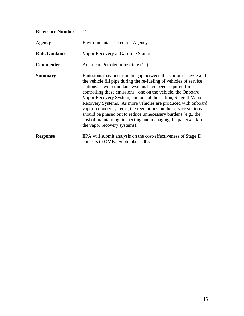| <b>Reference Number</b> | 112                                                                                                                                                                                                                                                                                                                                                                                                                                                                                                                                                                                                                                    |
|-------------------------|----------------------------------------------------------------------------------------------------------------------------------------------------------------------------------------------------------------------------------------------------------------------------------------------------------------------------------------------------------------------------------------------------------------------------------------------------------------------------------------------------------------------------------------------------------------------------------------------------------------------------------------|
| <b>Agency</b>           | <b>Environmental Protection Agency</b>                                                                                                                                                                                                                                                                                                                                                                                                                                                                                                                                                                                                 |
| <b>Rule/Guidance</b>    | Vapor Recovery at Gasoline Stations                                                                                                                                                                                                                                                                                                                                                                                                                                                                                                                                                                                                    |
| <b>Commenter</b>        | American Petroleum Institute (12)                                                                                                                                                                                                                                                                                                                                                                                                                                                                                                                                                                                                      |
| <b>Summary</b>          | Emissions may occur in the gap between the station's nozzle and<br>the vehicle fill pipe during the re-fueling of vehicles of service<br>stations. Two redundant systems have been required for<br>controlling these emissions: one on the vehicle, the Onboard<br>Vapor Recovery System, and one at the station, Stage II Vapor<br>Recovery Systems. As more vehicles are produced with onboard<br>vapor recovery systems, the regulations on the service stations<br>should be phased out to reduce unnecessary burdens (e.g., the<br>cost of maintaining, inspecting and managing the paperwork for<br>the vapor recovery systems). |
| <b>Response</b>         | EPA will submit analysis on the cost-effectiveness of Stage II<br>controls to OMB: September 2005                                                                                                                                                                                                                                                                                                                                                                                                                                                                                                                                      |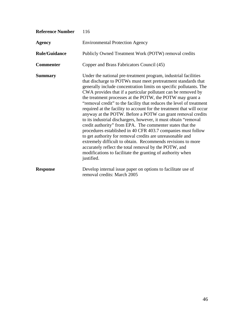| <b>Reference Number</b> | 116                                                                                                                                                                                                                                                                                                                                                                                                                                                                                                                                                                                                                                                                                                                                                                                                                                                                                                                                                                                                                   |
|-------------------------|-----------------------------------------------------------------------------------------------------------------------------------------------------------------------------------------------------------------------------------------------------------------------------------------------------------------------------------------------------------------------------------------------------------------------------------------------------------------------------------------------------------------------------------------------------------------------------------------------------------------------------------------------------------------------------------------------------------------------------------------------------------------------------------------------------------------------------------------------------------------------------------------------------------------------------------------------------------------------------------------------------------------------|
| <b>Agency</b>           | <b>Environmental Protection Agency</b>                                                                                                                                                                                                                                                                                                                                                                                                                                                                                                                                                                                                                                                                                                                                                                                                                                                                                                                                                                                |
| <b>Rule/Guidance</b>    | Publicly Owned Treatment Work (POTW) removal credits                                                                                                                                                                                                                                                                                                                                                                                                                                                                                                                                                                                                                                                                                                                                                                                                                                                                                                                                                                  |
| <b>Commenter</b>        | Copper and Brass Fabricators Council (45)                                                                                                                                                                                                                                                                                                                                                                                                                                                                                                                                                                                                                                                                                                                                                                                                                                                                                                                                                                             |
| <b>Summary</b>          | Under the national pre-treatment program, industrial facilities<br>that discharge to POTWs must meet pretreatment standards that<br>generally include concentration limits on specific pollutants. The<br>CWA provides that if a particular pollutant can be removed by<br>the treatment processes at the POTW, the POTW may grant a<br>"removal credit" to the facility that reduces the level of treatment<br>required at the facility to account for the treatment that will occur<br>anyway at the POTW. Before a POTW can grant removal credits<br>to its industrial dischargers, however, it must obtain "removal<br>credit authority" from EPA. The commenter states that the<br>procedures established in 40 CFR 403.7 companies must follow<br>to get authority for removal credits are unreasonable and<br>extremely difficult to obtain. Recommends revisions to more<br>accurately reflect the total removal by the POTW, and<br>modifications to facilitate the granting of authority when<br>justified. |
| <b>Response</b>         | Develop internal issue paper on options to facilitate use of<br>removal credits: March 2005                                                                                                                                                                                                                                                                                                                                                                                                                                                                                                                                                                                                                                                                                                                                                                                                                                                                                                                           |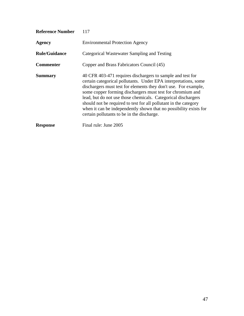| <b>Reference Number</b> | 117                                                                                                                                                                                                                                                                                                                                                                                                                                                                                                                    |
|-------------------------|------------------------------------------------------------------------------------------------------------------------------------------------------------------------------------------------------------------------------------------------------------------------------------------------------------------------------------------------------------------------------------------------------------------------------------------------------------------------------------------------------------------------|
| Agency                  | <b>Environmental Protection Agency</b>                                                                                                                                                                                                                                                                                                                                                                                                                                                                                 |
| <b>Rule/Guidance</b>    | Categorical Wastewater Sampling and Testing                                                                                                                                                                                                                                                                                                                                                                                                                                                                            |
| <b>Commenter</b>        | Copper and Brass Fabricators Council (45)                                                                                                                                                                                                                                                                                                                                                                                                                                                                              |
| <b>Summary</b>          | 40 CFR 403-471 requires dischargers to sample and test for<br>certain categorical pollutants. Under EPA interpretations, some<br>dischargers must test for elements they don't use. For example,<br>some copper forming dischargers must test for chromium and<br>lead, but do not use those chemicals. Categorical dischargers<br>should not be required to test for all pollutant in the category<br>when it can be independently shown that no possibility exists for<br>certain pollutants to be in the discharge. |
| <b>Response</b>         | Final rule: June 2005                                                                                                                                                                                                                                                                                                                                                                                                                                                                                                  |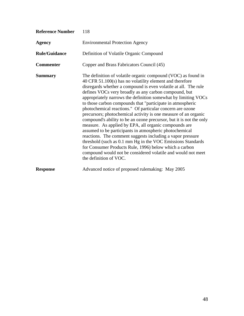| <b>Reference Number</b> | 118                                                                                                                                                                                                                                                                                                                                                                                                                                                                                                                                                                                                                                                                                                                                                                                                                                                                                                                                                                                               |
|-------------------------|---------------------------------------------------------------------------------------------------------------------------------------------------------------------------------------------------------------------------------------------------------------------------------------------------------------------------------------------------------------------------------------------------------------------------------------------------------------------------------------------------------------------------------------------------------------------------------------------------------------------------------------------------------------------------------------------------------------------------------------------------------------------------------------------------------------------------------------------------------------------------------------------------------------------------------------------------------------------------------------------------|
| <b>Agency</b>           | <b>Environmental Protection Agency</b>                                                                                                                                                                                                                                                                                                                                                                                                                                                                                                                                                                                                                                                                                                                                                                                                                                                                                                                                                            |
| <b>Rule/Guidance</b>    | Definition of Volatile Organic Compound                                                                                                                                                                                                                                                                                                                                                                                                                                                                                                                                                                                                                                                                                                                                                                                                                                                                                                                                                           |
| <b>Commenter</b>        | Copper and Brass Fabricators Council (45)                                                                                                                                                                                                                                                                                                                                                                                                                                                                                                                                                                                                                                                                                                                                                                                                                                                                                                                                                         |
| <b>Summary</b>          | The definition of volatile organic compound (VOC) as found in<br>40 CFR 51.100(s) has no volatility element and therefore<br>disregards whether a compound is even volatile at all. The rule<br>defines VOCs very broadly as any carbon compound, but<br>appropriately narrows the definition somewhat by limiting VOCs<br>to those carbon compounds that "participate in atmospheric<br>photochemical reactions." Of particular concern are ozone<br>precursors; photochemical activity is one measure of an organic<br>compound's ability to be an ozone precursor, but it is not the only<br>measure. As applied by EPA, all organic compounds are<br>assumed to be participants in atmospheric photochemical<br>reactions. The comment suggests including a vapor pressure<br>threshold (such as 0.1 mm Hg in the VOC Emissions Standards<br>for Consumer Products Rule, 1996) below which a carbon<br>compound would not be considered volatile and would not meet<br>the definition of VOC. |
| <b>Response</b>         | Advanced notice of proposed rulemaking: May 2005                                                                                                                                                                                                                                                                                                                                                                                                                                                                                                                                                                                                                                                                                                                                                                                                                                                                                                                                                  |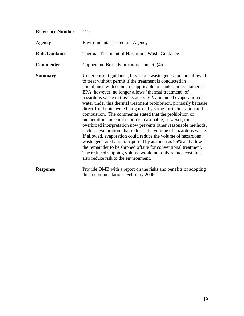| <b>Reference Number</b> | 119                                                                                                                                                                                                                                                                                                                                                                                                                                                                                                                                                                                                                                                                                                                                                                                                                                                                                                                                                                                                                                    |
|-------------------------|----------------------------------------------------------------------------------------------------------------------------------------------------------------------------------------------------------------------------------------------------------------------------------------------------------------------------------------------------------------------------------------------------------------------------------------------------------------------------------------------------------------------------------------------------------------------------------------------------------------------------------------------------------------------------------------------------------------------------------------------------------------------------------------------------------------------------------------------------------------------------------------------------------------------------------------------------------------------------------------------------------------------------------------|
| <b>Agency</b>           | <b>Environmental Protection Agency</b>                                                                                                                                                                                                                                                                                                                                                                                                                                                                                                                                                                                                                                                                                                                                                                                                                                                                                                                                                                                                 |
| <b>Rule/Guidance</b>    | <b>Thermal Treatment of Hazardous Waste Guidance</b>                                                                                                                                                                                                                                                                                                                                                                                                                                                                                                                                                                                                                                                                                                                                                                                                                                                                                                                                                                                   |
| <b>Commenter</b>        | Copper and Brass Fabricators Council (45)                                                                                                                                                                                                                                                                                                                                                                                                                                                                                                                                                                                                                                                                                                                                                                                                                                                                                                                                                                                              |
| <b>Summary</b>          | Under current guidance, hazardous waste generators are allowed<br>to treat without permit if the treatment is conducted in<br>compliance with standards applicable to "tanks and containers."<br>EPA, however, no longer allows "thermal treatment" of<br>hazardous waste in this instance. EPA included evaporation of<br>water under this thermal treatment prohibition, primarily because<br>direct-fired units were being used by some for incineration and<br>combustion. The commenter stated that the prohibition of<br>incineration and combustion is reasonable; however, the<br>overbroad interpretation now prevents other reasonable methods,<br>such as evaporation, that reduces the volume of hazardous waste.<br>If allowed, evaporation could reduce the volume of hazardous<br>waste generated and transported by as much as 95% and allow<br>the remainder to be shipped offsite for conventional treatment.<br>The reduced shipping volume would not only reduce cost, but<br>also reduce risk to the environment. |
| <b>Response</b>         | Provide OMB with a report on the risks and benefits of adopting<br>this recommendation: February 2006                                                                                                                                                                                                                                                                                                                                                                                                                                                                                                                                                                                                                                                                                                                                                                                                                                                                                                                                  |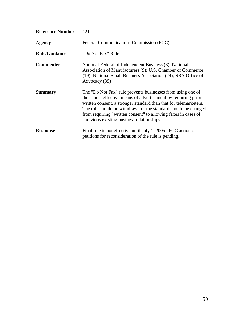| <b>Reference Number</b> | 121                                                                                                                                                                                                                                                                                                                                                                                   |
|-------------------------|---------------------------------------------------------------------------------------------------------------------------------------------------------------------------------------------------------------------------------------------------------------------------------------------------------------------------------------------------------------------------------------|
| <b>Agency</b>           | Federal Communications Commission (FCC)                                                                                                                                                                                                                                                                                                                                               |
| <b>Rule/Guidance</b>    | "Do Not Fax" Rule                                                                                                                                                                                                                                                                                                                                                                     |
| <b>Commenter</b>        | National Federal of Independent Business (8); National<br>Association of Manufacturers (9); U.S. Chamber of Commerce<br>(19); National Small Business Association (24); SBA Office of<br>Advocacy (39)                                                                                                                                                                                |
| <b>Summary</b>          | The "Do Not Fax" rule prevents businesses from using one of<br>their most effective means of advertisement by requiring prior<br>written consent, a stronger standard than that for telemarketers.<br>The rule should be withdrawn or the standard should be changed<br>from requiring "written consent" to allowing faxes in cases of<br>"previous existing business relationships." |
| <b>Response</b>         | Final rule is not effective until July 1, 2005. FCC action on<br>petitions for reconsideration of the rule is pending.                                                                                                                                                                                                                                                                |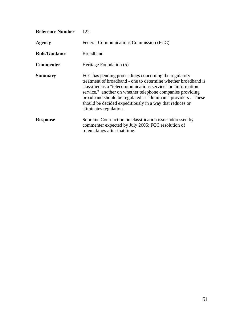| <b>Reference Number</b> | 122                                                                                                                                                                                                                                                                                                                                                                                                          |
|-------------------------|--------------------------------------------------------------------------------------------------------------------------------------------------------------------------------------------------------------------------------------------------------------------------------------------------------------------------------------------------------------------------------------------------------------|
| <b>Agency</b>           | Federal Communications Commission (FCC)                                                                                                                                                                                                                                                                                                                                                                      |
| <b>Rule/Guidance</b>    | <b>Broadband</b>                                                                                                                                                                                                                                                                                                                                                                                             |
| <b>Commenter</b>        | Heritage Foundation (5)                                                                                                                                                                                                                                                                                                                                                                                      |
| <b>Summary</b>          | FCC has pending proceedings concerning the regulatory<br>treatment of broadband - one to determine whether broadband is<br>classified as a "telecommunications service" or "information"<br>service," another on whether telephone companies providing<br>broadband should be regulated as "dominant" providers. These<br>should be decided expeditiously in a way that reduces or<br>eliminates regulation. |
| <b>Response</b>         | Supreme Court action on classification issue addressed by<br>commenter expected by July 2005; FCC resolution of<br>rule makings after that time.                                                                                                                                                                                                                                                             |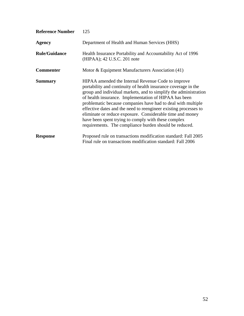| <b>Reference Number</b> | 125                                                                                                                                                                                                                                                                                                                                                                                                                                                                                                                                                                 |
|-------------------------|---------------------------------------------------------------------------------------------------------------------------------------------------------------------------------------------------------------------------------------------------------------------------------------------------------------------------------------------------------------------------------------------------------------------------------------------------------------------------------------------------------------------------------------------------------------------|
| Agency                  | Department of Health and Human Services (HHS)                                                                                                                                                                                                                                                                                                                                                                                                                                                                                                                       |
| <b>Rule/Guidance</b>    | Health Insurance Portability and Accountability Act of 1996<br>(HIPAA); 42 U.S.C. 201 note                                                                                                                                                                                                                                                                                                                                                                                                                                                                          |
| <b>Commenter</b>        | Motor & Equipment Manufacturers Association (41)                                                                                                                                                                                                                                                                                                                                                                                                                                                                                                                    |
| <b>Summary</b>          | HIPAA amended the Internal Revenue Code to improve<br>portability and continuity of health insurance coverage in the<br>group and individual markets, and to simplify the administration<br>of health insurance. Implementation of HIPAA has been<br>problematic because companies have had to deal with multiple<br>effective dates and the need to reengineer existing processes to<br>eliminate or reduce exposure. Considerable time and money<br>have been spent trying to comply with these complex<br>requirements. The compliance burden should be reduced. |
| <b>Response</b>         | Proposed rule on transactions modification standard: Fall 2005<br>Final rule on transactions modification standard: Fall 2006                                                                                                                                                                                                                                                                                                                                                                                                                                       |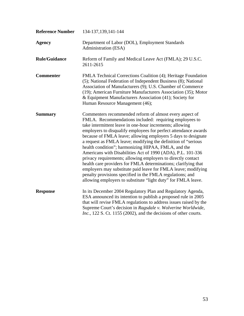| <b>Reference Number</b> | 134-137, 139, 141-144                                                                                                                                                                                                                                                                                                                                                                                                                                                                                                                                                                                                                                                                                                                                                                                                                     |
|-------------------------|-------------------------------------------------------------------------------------------------------------------------------------------------------------------------------------------------------------------------------------------------------------------------------------------------------------------------------------------------------------------------------------------------------------------------------------------------------------------------------------------------------------------------------------------------------------------------------------------------------------------------------------------------------------------------------------------------------------------------------------------------------------------------------------------------------------------------------------------|
| <b>Agency</b>           | Department of Labor (DOL), Employment Standards<br>Administration (ESA)                                                                                                                                                                                                                                                                                                                                                                                                                                                                                                                                                                                                                                                                                                                                                                   |
| <b>Rule/Guidance</b>    | Reform of Family and Medical Leave Act (FMLA); 29 U.S.C.<br>2611-2615                                                                                                                                                                                                                                                                                                                                                                                                                                                                                                                                                                                                                                                                                                                                                                     |
| <b>Commenter</b>        | FMLA Technical Corrections Coalition (4); Heritage Foundation<br>(5); National Federation of Independent Business (8); National<br>Association of Manufacturers (9); U.S. Chamber of Commerce<br>(19); American Furniture Manufacturers Association (35); Motor<br>& Equipment Manufacturers Association (41); Society for<br>Human Resource Management (46);                                                                                                                                                                                                                                                                                                                                                                                                                                                                             |
| <b>Summary</b>          | Commenters recommended reform of almost every aspect of<br>FMLA. Recommendations included: requiring employees to<br>take intermittent leave in one-hour increments; allowing<br>employers to disqualify employees for perfect attendance awards<br>because of FMLA leave; allowing employers 5 days to designate<br>a request as FMLA leave; modifying the definition of "serious<br>health condition"; harmonizing HIPAA, FMLA, and the<br>Americans with Disabilities Act of 1990 (ADA), P.L. 101-336<br>privacy requirements; allowing employers to directly contact<br>health care providers for FMLA determinations; clarifying that<br>employers may substitute paid leave for FMLA leave; modifying<br>penalty provisions specified in the FMLA regulations; and<br>allowing employers to substitute "light duty" for FMLA leave. |
| <b>Response</b>         | In its December 2004 Regulatory Plan and Regulatory Agenda,<br>ESA announced its intention to publish a proposed rule in 2005<br>that will revise FMLA regulations to address issues raised by the<br>Supreme Court's decision in Ragsdale v. Wolverine Worldwide,<br>Inc., 122 S. Ct. 1155 (2002), and the decisions of other courts.                                                                                                                                                                                                                                                                                                                                                                                                                                                                                                    |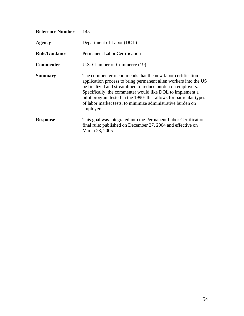| <b>Reference Number</b> | 145                                                                                                                                                                                                                                                                                                                                                                                                          |
|-------------------------|--------------------------------------------------------------------------------------------------------------------------------------------------------------------------------------------------------------------------------------------------------------------------------------------------------------------------------------------------------------------------------------------------------------|
| Agency                  | Department of Labor (DOL)                                                                                                                                                                                                                                                                                                                                                                                    |
| <b>Rule/Guidance</b>    | <b>Permanent Labor Certification</b>                                                                                                                                                                                                                                                                                                                                                                         |
| <b>Commenter</b>        | U.S. Chamber of Commerce (19)                                                                                                                                                                                                                                                                                                                                                                                |
| <b>Summary</b>          | The commenter recommends that the new labor certification<br>application process to bring permanent alien workers into the US<br>be finalized and streamlined to reduce burden on employers.<br>Specifically, the commenter would like DOL to implement a<br>pilot program tested in the 1990s that allows for particular types<br>of labor market tests, to minimize administrative burden on<br>employers. |
| <b>Response</b>         | This goal was integrated into the Permanent Labor Certification<br>final rule: published on December 27, 2004 and effective on<br>March 28, 2005                                                                                                                                                                                                                                                             |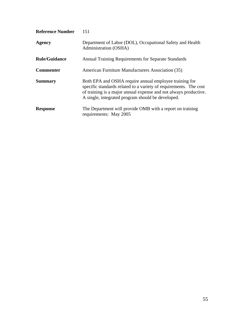| <b>Reference Number</b> | 151                                                                                                                                                                                                                                                  |
|-------------------------|------------------------------------------------------------------------------------------------------------------------------------------------------------------------------------------------------------------------------------------------------|
| <b>Agency</b>           | Department of Labor (DOL), Occupational Safety and Health<br>Administration (OSHA)                                                                                                                                                                   |
| <b>Rule/Guidance</b>    | Annual Training Requirements for Separate Standards                                                                                                                                                                                                  |
| <b>Commenter</b>        | American Furniture Manufacturers Association (35)                                                                                                                                                                                                    |
| <b>Summary</b>          | Both EPA and OSHA require annual employee training for<br>specific standards related to a variety of requirements. The cost<br>of training is a major annual expense and not always productive.<br>A single, integrated program should be developed. |
| <b>Response</b>         | The Department will provide OMB with a report on training<br>requirements: May 2005                                                                                                                                                                  |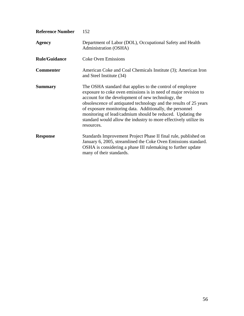| <b>Reference Number</b> | 152                                                                                                                                                                                                                                                                                                                                                                                                                                                                  |
|-------------------------|----------------------------------------------------------------------------------------------------------------------------------------------------------------------------------------------------------------------------------------------------------------------------------------------------------------------------------------------------------------------------------------------------------------------------------------------------------------------|
| <b>Agency</b>           | Department of Labor (DOL), Occupational Safety and Health<br>Administration (OSHA)                                                                                                                                                                                                                                                                                                                                                                                   |
| <b>Rule/Guidance</b>    | <b>Coke Oven Emissions</b>                                                                                                                                                                                                                                                                                                                                                                                                                                           |
| <b>Commenter</b>        | American Coke and Coal Chemicals Institute (3); American Iron<br>and Steel Institute (34)                                                                                                                                                                                                                                                                                                                                                                            |
| <b>Summary</b>          | The OSHA standard that applies to the control of employee<br>exposure to coke oven emissions is in need of major revision to<br>account for the development of new technology, the<br>obsolescence of antiquated technology and the results of 25 years<br>of exposure monitoring data. Additionally, the personnel<br>monitoring of lead/cadmium should be reduced. Updating the<br>standard would allow the industry to more effectively utilize its<br>resources. |
| <b>Response</b>         | Standards Improvement Project Phase II final rule, published on<br>January 6, 2005, streamlined the Coke Oven Emissions standard.<br>OSHA is considering a phase III rulemaking to further update<br>many of their standards.                                                                                                                                                                                                                                        |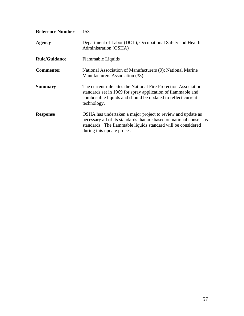| <b>Reference Number</b> | 153                                                                                                                                                                                                                               |
|-------------------------|-----------------------------------------------------------------------------------------------------------------------------------------------------------------------------------------------------------------------------------|
| <b>Agency</b>           | Department of Labor (DOL), Occupational Safety and Health<br>Administration (OSHA)                                                                                                                                                |
| <b>Rule/Guidance</b>    | Flammable Liquids                                                                                                                                                                                                                 |
| <b>Commenter</b>        | National Association of Manufacturers (9); National Marine<br>Manufacturers Association (38)                                                                                                                                      |
| <b>Summary</b>          | The current rule cites the National Fire Protection Association<br>standards set in 1969 for spray application of flammable and<br>combustible liquids and should be updated to reflect current<br>technology.                    |
| <b>Response</b>         | OSHA has undertaken a major project to review and update as<br>necessary all of its standards that are based on national consensus<br>standards. The flammable liquids standard will be considered<br>during this update process. |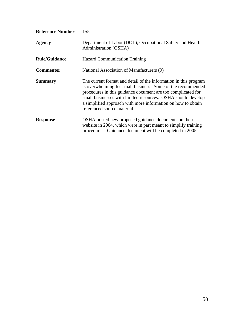| <b>Reference Number</b> | 155                                                                                                                                                                                                                                                                                                                                                            |
|-------------------------|----------------------------------------------------------------------------------------------------------------------------------------------------------------------------------------------------------------------------------------------------------------------------------------------------------------------------------------------------------------|
| <b>Agency</b>           | Department of Labor (DOL), Occupational Safety and Health<br>Administration (OSHA)                                                                                                                                                                                                                                                                             |
| <b>Rule/Guidance</b>    | <b>Hazard Communication Training</b>                                                                                                                                                                                                                                                                                                                           |
| <b>Commenter</b>        | National Association of Manufacturers (9)                                                                                                                                                                                                                                                                                                                      |
| <b>Summary</b>          | The current format and detail of the information in this program<br>is overwhelming for small business. Some of the recommended<br>procedures in this guidance document are too complicated for<br>small businesses with limited resources. OSHA should develop<br>a simplified approach with more information on how to obtain<br>referenced source material. |
| <b>Response</b>         | OSHA posted new proposed guidance documents on their<br>website in 2004, which were in part meant to simplify training<br>procedures. Guidance document will be completed in 2005.                                                                                                                                                                             |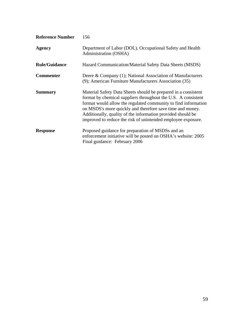| <b>Reference Number</b> | 156                                                                                                                                                                                                                                                                                                                                                                                           |
|-------------------------|-----------------------------------------------------------------------------------------------------------------------------------------------------------------------------------------------------------------------------------------------------------------------------------------------------------------------------------------------------------------------------------------------|
| <b>Agency</b>           | Department of Labor (DOL), Occupational Safety and Health<br>Administration (OSHA)                                                                                                                                                                                                                                                                                                            |
| <b>Rule/Guidance</b>    | Hazard Communication/Material Safety Data Sheets (MSDS)                                                                                                                                                                                                                                                                                                                                       |
| <b>Commenter</b>        | Deere & Company (1); National Association of Manufacturers<br>(9); American Furniture Manufacturers Association (35)                                                                                                                                                                                                                                                                          |
| <b>Summary</b>          | Material Safety Data Sheets should be prepared in a consistent<br>format by chemical suppliers throughout the U.S. A consistent<br>format would allow the regulated community to find information<br>on MSDS's more quickly and therefore save time and money.<br>Additionally, quality of the information provided should be<br>improved to reduce the risk of unintended employee exposure. |
| <b>Response</b>         | Proposed guidance for preparation of MSDSs and an<br>enforcement initiative will be posted on OSHA's website: 2005<br>Final guidance: February 2006                                                                                                                                                                                                                                           |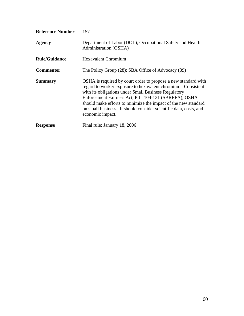| <b>Reference Number</b> | 157                                                                                                                                                                                                                                                                                                                                                                                                        |
|-------------------------|------------------------------------------------------------------------------------------------------------------------------------------------------------------------------------------------------------------------------------------------------------------------------------------------------------------------------------------------------------------------------------------------------------|
| <b>Agency</b>           | Department of Labor (DOL), Occupational Safety and Health<br>Administration (OSHA)                                                                                                                                                                                                                                                                                                                         |
| <b>Rule/Guidance</b>    | <b>Hexavalent Chromium</b>                                                                                                                                                                                                                                                                                                                                                                                 |
| <b>Commenter</b>        | The Policy Group (28); SBA Office of Advocacy (39)                                                                                                                                                                                                                                                                                                                                                         |
| <b>Summary</b>          | OSHA is required by court order to propose a new standard with<br>regard to worker exposure to hexavalent chromium. Consistent<br>with its obligations under Small Business Regulatory<br>Enforcement Fairness Act, P.L. 104-121 (SBREFA), OSHA<br>should make efforts to minimize the impact of the new standard<br>on small business. It should consider scientific data, costs, and<br>economic impact. |
| <b>Response</b>         | Final rule: January 18, 2006                                                                                                                                                                                                                                                                                                                                                                               |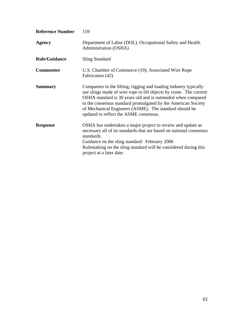| <b>Reference Number</b> | 159                                                                                                                                                                                                                                                                                                                                                                        |
|-------------------------|----------------------------------------------------------------------------------------------------------------------------------------------------------------------------------------------------------------------------------------------------------------------------------------------------------------------------------------------------------------------------|
| <b>Agency</b>           | Department of Labor (DOL), Occupational Safety and Health<br>Administration (OSHA)                                                                                                                                                                                                                                                                                         |
| <b>Rule/Guidance</b>    | <b>Sling Standard</b>                                                                                                                                                                                                                                                                                                                                                      |
| <b>Commenter</b>        | U.S. Chamber of Commerce (19); Associated Wire Rope<br>Fabricators (42)                                                                                                                                                                                                                                                                                                    |
| <b>Summary</b>          | Companies in the lifting, rigging and loading industry typically<br>use slings made of wire rope to lift objects by crane. The current<br>OSHA standard is 30 years old and is outmoded when compared<br>to the consensus standard promulgated by the American Society<br>of Mechanical Engineers (ASME). The standard should be<br>updated to reflect the ASME consensus. |
| <b>Response</b>         | OSHA has undertaken a major project to review and update as<br>necessary all of its standards that are based on national consensus<br>standards.<br>Guidance on the sling standard: February 2006<br>Rulemaking on the sling standard will be considered during this<br>project at a later date.                                                                           |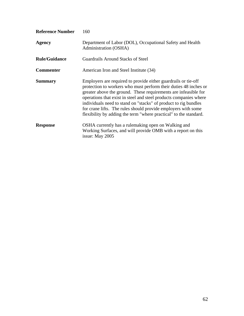| <b>Reference Number</b> | 160                                                                                                                                                                                                                                                                                                                                                                                                                                                                                 |
|-------------------------|-------------------------------------------------------------------------------------------------------------------------------------------------------------------------------------------------------------------------------------------------------------------------------------------------------------------------------------------------------------------------------------------------------------------------------------------------------------------------------------|
| <b>Agency</b>           | Department of Labor (DOL), Occupational Safety and Health<br>Administration (OSHA)                                                                                                                                                                                                                                                                                                                                                                                                  |
| <b>Rule/Guidance</b>    | Guardrails Around Stacks of Steel                                                                                                                                                                                                                                                                                                                                                                                                                                                   |
| <b>Commenter</b>        | American Iron and Steel Institute (34)                                                                                                                                                                                                                                                                                                                                                                                                                                              |
| <b>Summary</b>          | Employers are required to provide either guardrails or tie-off<br>protection to workers who must perform their duties 48 inches or<br>greater above the ground. These requirements are infeasible for<br>operations that exist in steel and steel products companies where<br>individuals need to stand on "stacks" of product to rig bundles<br>for crane lifts. The rules should provide employers with some<br>flexibility by adding the term "where practical" to the standard. |
| <b>Response</b>         | OSHA currently has a rulemaking open on Walking and<br>Working Surfaces, and will provide OMB with a report on this<br>issue: May 2005                                                                                                                                                                                                                                                                                                                                              |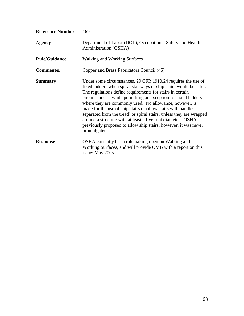| <b>Reference Number</b> | 169                                                                                                                                                                                                                                                                                                                                                                                                                                                                                                                                                                                                                   |
|-------------------------|-----------------------------------------------------------------------------------------------------------------------------------------------------------------------------------------------------------------------------------------------------------------------------------------------------------------------------------------------------------------------------------------------------------------------------------------------------------------------------------------------------------------------------------------------------------------------------------------------------------------------|
| <b>Agency</b>           | Department of Labor (DOL), Occupational Safety and Health<br>Administration (OSHA)                                                                                                                                                                                                                                                                                                                                                                                                                                                                                                                                    |
| <b>Rule/Guidance</b>    | <b>Walking and Working Surfaces</b>                                                                                                                                                                                                                                                                                                                                                                                                                                                                                                                                                                                   |
| <b>Commenter</b>        | Copper and Brass Fabricators Council (45)                                                                                                                                                                                                                                                                                                                                                                                                                                                                                                                                                                             |
| <b>Summary</b>          | Under some circumstances, 29 CFR 1910.24 requires the use of<br>fixed ladders when spiral stairways or ship stairs would be safer.<br>The regulations define requirements for stairs in certain<br>circumstances, while permitting an exception for fixed ladders<br>where they are commonly used. No allowance, however, is<br>made for the use of ship stairs (shallow stairs with handles<br>separated from the tread) or spiral stairs, unless they are wrapped<br>around a structure with at least a five foot diameter. OSHA<br>previously proposed to allow ship stairs; however, it was never<br>promulgated. |
| <b>Response</b>         | OSHA currently has a rulemaking open on Walking and<br>Working Surfaces, and will provide OMB with a report on this<br>issue: May 2005                                                                                                                                                                                                                                                                                                                                                                                                                                                                                |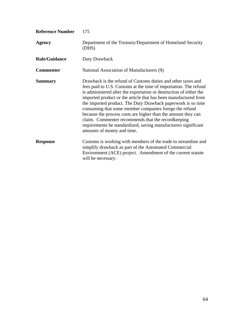| <b>Reference Number</b> | 175                                                                                                                                                                                                                                                                                                                                                                                                                                                                                                                                                                                                                         |
|-------------------------|-----------------------------------------------------------------------------------------------------------------------------------------------------------------------------------------------------------------------------------------------------------------------------------------------------------------------------------------------------------------------------------------------------------------------------------------------------------------------------------------------------------------------------------------------------------------------------------------------------------------------------|
| <b>Agency</b>           | Department of the Treasury/Department of Homeland Security<br>(DHS)                                                                                                                                                                                                                                                                                                                                                                                                                                                                                                                                                         |
| <b>Rule/Guidance</b>    | Duty Drawback                                                                                                                                                                                                                                                                                                                                                                                                                                                                                                                                                                                                               |
| <b>Commenter</b>        | National Association of Manufacturers (9)                                                                                                                                                                                                                                                                                                                                                                                                                                                                                                                                                                                   |
| <b>Summary</b>          | Drawback is the refund of Customs duties and other taxes and<br>fees paid to U.S. Customs at the time of importation. The refund<br>is administered after the exportation or destruction of either the<br>imported product or the article that has been manufactured from<br>the imported product. The Duty Drawback paperwork is so time<br>consuming that some member companies forego the refund<br>because the process costs are higher than the amount they can<br>claim. Commenter recommends that the record keeping<br>requirements be standardized, saving manufacturers significant<br>amounts of money and time. |
| <b>Response</b>         | Customs is working with members of the trade to streamline and<br>simplify drawback as part of the Automated Commercial<br>Environment (ACE) project. Amendment of the current statute<br>will be necessary.                                                                                                                                                                                                                                                                                                                                                                                                                |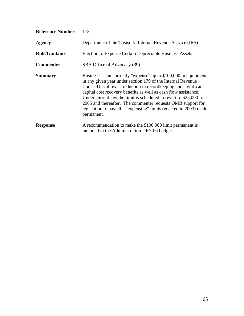| <b>Reference Number</b> | 178                                                                                                                                                                                                                                                                                                                                                                                                                                                                                           |
|-------------------------|-----------------------------------------------------------------------------------------------------------------------------------------------------------------------------------------------------------------------------------------------------------------------------------------------------------------------------------------------------------------------------------------------------------------------------------------------------------------------------------------------|
| <b>Agency</b>           | Department of the Treasury, Internal Revenue Service (IRS)                                                                                                                                                                                                                                                                                                                                                                                                                                    |
| <b>Rule/Guidance</b>    | Election to Expense Certain Depreciable Business Assets                                                                                                                                                                                                                                                                                                                                                                                                                                       |
| <b>Commenter</b>        | SBA Office of Advocacy (39)                                                                                                                                                                                                                                                                                                                                                                                                                                                                   |
| <b>Summary</b>          | Businesses can currently "expense" up to \$100,000 in equipment<br>in any given year under section 179 of the Internal Revenue<br>Code. This allows a reduction in record keeping and significant<br>capital cost recovery benefits as well as cash flow assistance.<br>Under current law the limit is scheduled to revert to $$25,000$ for<br>2005 and thereafter. The commenter requests OMB support for<br>legislation to have the "expensing" limits (enacted in 2003) made<br>permanent. |
| <b>Response</b>         | A recommendation to make the \$100,000 limit permanent is<br>included in the Administration's FY 06 budget                                                                                                                                                                                                                                                                                                                                                                                    |